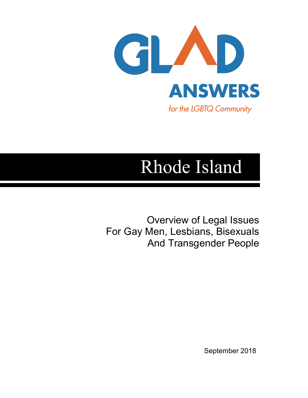

## Rhode Island

Overview of Legal Issues For Gay Men, Lesbians, Bisexuals And Transgender People

September 2018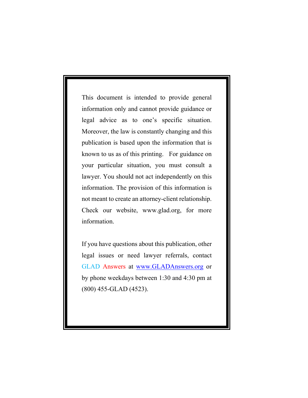This document is intended to provide general information only and cannot provide guidance or legal advice as to one's specific situation. Moreover, the law is constantly changing and this publication is based upon the information that is known to us as of this printing. For guidance on your particular situation, you must consult a lawyer. You should not act independently on this information. The provision of this information is not meant to create an attorney-client relationship. Check our website, www.glad.org, for more information.

If you have questions about this publication, other legal issues or need lawyer referrals, contact GLAD Answers at www.GLADAnswers.org or by phone weekdays between 1:30 and 4:30 pm at (800) 455-GLAD (4523).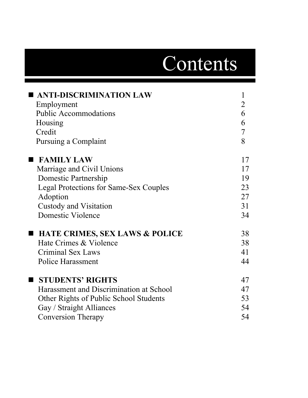# Contents

| <b>ANTI-DISCRIMINATION LAW</b>                | $\mathbf{1}$   |
|-----------------------------------------------|----------------|
| Employment                                    | $\overline{2}$ |
| <b>Public Accommodations</b>                  | 6              |
| Housing                                       | 6              |
| Credit                                        | $\tau$         |
| Pursuing a Complaint                          | 8              |
| <b>FAMILY LAW</b>                             | 17             |
| Marriage and Civil Unions                     | 17             |
| Domestic Partnership                          | 19             |
| <b>Legal Protections for Same-Sex Couples</b> | 23             |
| Adoption                                      | 27             |
| <b>Custody and Visitation</b>                 | 31             |
| <b>Domestic Violence</b>                      | 34             |
| ■ HATE CRIMES, SEX LAWS & POLICE              | 38             |
| Hate Crimes & Violence                        | 38             |
| <b>Criminal Sex Laws</b>                      | 41             |
| Police Harassment                             | 44             |
| <b>STUDENTS' RIGHTS</b><br>$\blacksquare$     | 47             |
| Harassment and Discrimination at School       | 47             |
| Other Rights of Public School Students        | 53             |
| Gay / Straight Alliances                      | 54             |
| <b>Conversion Therapy</b>                     | 54             |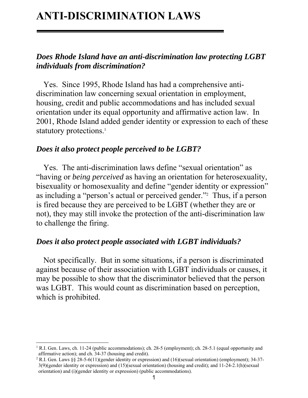## **ANTI-DISCRIMINATION LAWS**

#### *Does Rhode Island have an anti-discrimination law protecting LGBT individuals from discrimination?*

Yes. Since 1995, Rhode Island has had a comprehensive antidiscrimination law concerning sexual orientation in employment, housing, credit and public accommodations and has included sexual orientation under its equal opportunity and affirmative action law. In 2001, Rhode Island added gender identity or expression to each of these statutory protections.<sup>1</sup>

#### *Does it also protect people perceived to be LGBT?*

Yes. The anti-discrimination laws define "sexual orientation" as "having or *being perceived* as having an orientation for heterosexuality, bisexuality or homosexuality and define "gender identity or expression" as including a "person's actual or perceived gender."2 Thus, if a person is fired because they are perceived to be LGBT (whether they are or not), they may still invoke the protection of the anti-discrimination law to challenge the firing.

#### *Does it also protect people associated with LGBT individuals?*

Not specifically. But in some situations, if a person is discriminated against because of their association with LGBT individuals or causes, it may be possible to show that the discriminator believed that the person was LGBT. This would count as discrimination based on perception, which is prohibited.

<sup>&</sup>lt;sup>1</sup> R.I. Gen. Laws, ch. 11-24 (public accommodations); ch. 28-5 (employment); ch. 28-5.1 (equal opportunity and affirmative action); and ch. 34-37 (housing and credit).

<sup>&</sup>lt;sup>2</sup> R.I. Gen. Laws §§ 28-5-6(11)(gender identity or expression) and (16)(sexual orientation) (employment); 34-37-3(9)(gender identity or expression) and (15)(sexual orientation) (housing and credit); and 11-24-2.1(h)(sexual orientation) and (i)(gender identity or expression) (public accommodations).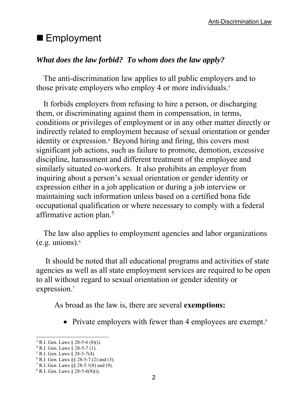## ■ Employment

#### *What does the law forbid? To whom does the law apply?*

The anti-discrimination law applies to all public employers and to those private employers who employ 4 or more individuals.<sup>3</sup>

It forbids employers from refusing to hire a person, or discharging them, or discriminating against them in compensation, in terms, conditions or privileges of employment or in any other matter directly or indirectly related to employment because of sexual orientation or gender identity or expression.<sup>4</sup> Beyond hiring and firing, this covers most significant job actions, such as failure to promote, demotion, excessive discipline, harassment and different treatment of the employee and similarly situated co-workers. It also prohibits an employer from inquiring about a person's sexual orientation or gender identity or expression either in a job application or during a job interview or maintaining such information unless based on a certified bona fide occupational qualification or where necessary to comply with a federal affirmative action plan.<sup>5</sup>

The law also applies to employment agencies and labor organizations (e.g. unions). $6$ 

 It should be noted that all educational programs and activities of state agencies as well as all state employment services are required to be open to all without regard to sexual orientation or gender identity or expression.7

As broad as the law is, there are several **exemptions:**

• Private employers with fewer than 4 employees are exempt.<sup>8</sup>

 $\overline{a}$ <sup>3</sup> R.I. Gen. Laws  $\S$  28-5-6 (8)(i).

<sup>4</sup> R.I. Gen. Laws § 28-5-7 (1).

 $5$  R.I. Gen. Laws § 28-5-7(4).

<sup>6</sup> R.I. Gen. Laws §§ 28-5-7 (2) and (3).

<sup>7</sup> R.I. Gen. Laws §§ 28-5.1(8) and (9).

 $8$  R.I. Gen. Laws § 28-5-6(8)(i).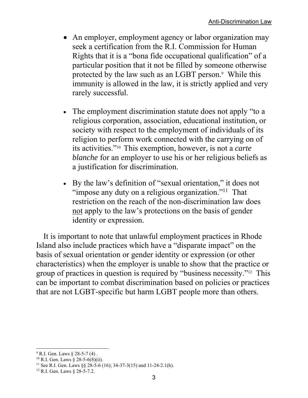- An employer, employment agency or labor organization may seek a certification from the R.I. Commission for Human Rights that it is a "bona fide occupational qualification" of a particular position that it not be filled by someone otherwise protected by the law such as an LGBT person.<sup>9</sup> While this immunity is allowed in the law, it is strictly applied and very rarely successful.
- The employment discrimination statute does not apply "to a religious corporation, association, educational institution, or society with respect to the employment of individuals of its religion to perform work connected with the carrying on of its activities."10 This exemption, however, is not a *carte blanche* for an employer to use his or her religious beliefs as a justification for discrimination.
- By the law's definition of "sexual orientation," it does not "impose any duty on a religious organization."<sup>11</sup> That restriction on the reach of the non-discrimination law does not apply to the law's protections on the basis of gender identity or expression.

It is important to note that unlawful employment practices in Rhode Island also include practices which have a "disparate impact" on the basis of sexual orientation or gender identity or expression (or other characteristics) when the employer is unable to show that the practice or group of practices in question is required by "business necessity."12 This can be important to combat discrimination based on policies or practices that are not LGBT-specific but harm LGBT people more than others.

 $9^9$  R.I. Gen. Laws  $§ 28-5-7(4)$ .

<sup>&</sup>lt;sup>10</sup> R.I. Gen. Laws § 28-5-6(8)(ii).

<sup>&</sup>lt;sup>11</sup> See R.I. Gen. Laws §§ 28-5-6 (16); 34-37-3(15) and 11-24-2.1(h).<br><sup>12</sup> R.I. Gen. Laws § 28-5-7.2.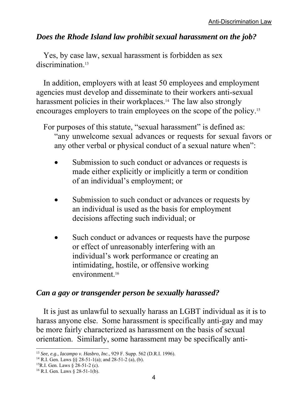#### *Does the Rhode Island law prohibit sexual harassment on the job?*

Yes, by case law, sexual harassment is forbidden as sex discrimination<sup>13</sup>

In addition, employers with at least 50 employees and employment agencies must develop and disseminate to their workers anti-sexual harassment policies in their workplaces.<sup>14</sup> The law also strongly encourages employers to train employees on the scope of the policy.15

For purposes of this statute, "sexual harassment" is defined as: "any unwelcome sexual advances or requests for sexual favors or any other verbal or physical conduct of a sexual nature when":

- Submission to such conduct or advances or requests is made either explicitly or implicitly a term or condition of an individual's employment; or
- Submission to such conduct or advances or requests by an individual is used as the basis for employment decisions affecting such individual; or
- Such conduct or advances or requests have the purpose or effect of unreasonably interfering with an individual's work performance or creating an intimidating, hostile, or offensive working environment.16

#### *Can a gay or transgender person be sexually harassed?*

It is just as unlawful to sexually harass an LGBT individual as it is to harass anyone else. Some harassment is specifically anti-gay and may be more fairly characterized as harassment on the basis of sexual orientation. Similarly, some harassment may be specifically anti-

<sup>13</sup> *See, e.g., Iacampo v. Hasbro, Inc.*, 929 F. Supp. 562 (D.R.I. 1996). 14 R.I. Gen. Laws §§ 28-51-1(a); and 28-51-2 (a), (b).

<sup>15</sup>R.I. Gen. Laws § 28-51-2 (c).

 $16$  R.I. Gen. Laws  $\S$  28-51-1(b).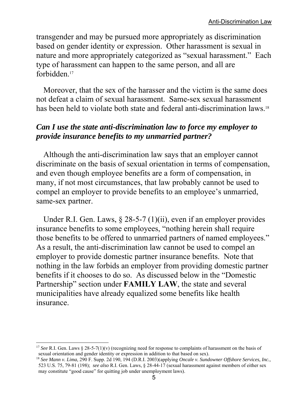transgender and may be pursued more appropriately as discrimination based on gender identity or expression. Other harassment is sexual in nature and more appropriately categorized as "sexual harassment." Each type of harassment can happen to the same person, and all are forbidden.17

Moreover, that the sex of the harasser and the victim is the same does not defeat a claim of sexual harassment. Same-sex sexual harassment has been held to violate both state and federal anti-discrimination laws.<sup>18</sup>

#### *Can I use the state anti-discrimination law to force my employer to provide insurance benefits to my unmarried partner?*

Although the anti-discrimination law says that an employer cannot discriminate on the basis of sexual orientation in terms of compensation, and even though employee benefits are a form of compensation, in many, if not most circumstances, that law probably cannot be used to compel an employer to provide benefits to an employee's unmarried, same-sex partner.

Under R.I. Gen. Laws, § 28-5-7 (1)(ii), even if an employer provides insurance benefits to some employees, "nothing herein shall require those benefits to be offered to unmarried partners of named employees." As a result, the anti-discrimination law cannot be used to compel an employer to provide domestic partner insurance benefits. Note that nothing in the law forbids an employer from providing domestic partner benefits if it chooses to do so. As discussed below in the "Domestic Partnership" section under **FAMILY LAW**, the state and several municipalities have already equalized some benefits like health insurance.

<sup>&</sup>lt;sup>17</sup> See R.I. Gen. Laws § 28-5-7(1)(v) (recognizing need for response to complaints of harassment on the basis of sexual orientation and gender identity or expression in addition to that based on sex).

<sup>18</sup> *See Mann v. Lima*, 290 F. Supp. 2d 190, 194 (D.R.I. 2003)(applying *Oncale v. Sundowner Offshore Services, Inc.,* 523 U.S. 75, 79-81 (198); *see also* R.I. Gen. Laws, § 28-44-17 (sexual harassment against members of either sex may constitute "good cause" for quitting job under unemployment laws).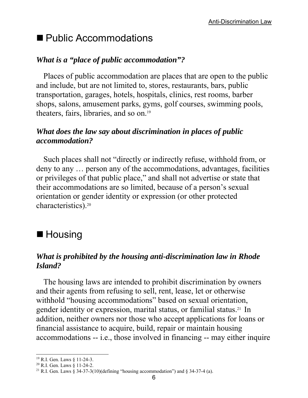## ■ Public Accommodations

#### *What is a "place of public accommodation"?*

Places of public accommodation are places that are open to the public and include, but are not limited to, stores, restaurants, bars, public transportation, garages, hotels, hospitals, clinics, rest rooms, barber shops, salons, amusement parks, gyms, golf courses, swimming pools, theaters, fairs, libraries, and so on.19

#### *What does the law say about discrimination in places of public accommodation?*

Such places shall not "directly or indirectly refuse, withhold from, or deny to any … person any of the accommodations, advantages, facilities or privileges of that public place," and shall not advertise or state that their accommodations are so limited, because of a person's sexual orientation or gender identity or expression (or other protected characteristics).20

## ■ Housing

#### *What is prohibited by the housing anti-discrimination law in Rhode Island?*

The housing laws are intended to prohibit discrimination by owners and their agents from refusing to sell, rent, lease, let or otherwise withhold "housing accommodations" based on sexual orientation, gender identity or expression, marital status, or familial status.21 In addition, neither owners nor those who accept applications for loans or financial assistance to acquire, build, repair or maintain housing accommodations -- i.e., those involved in financing -- may either inquire

<sup>19</sup> R.I. Gen. Laws § 11-24-3.

<sup>20</sup> R.I. Gen. Laws § 11-24-2.

<sup>&</sup>lt;sup>21</sup> R.I. Gen. Laws  $\hat{\zeta}$  34-37-3(10)(defining "housing accommodation") and  $\zeta$  34-37-4 (a).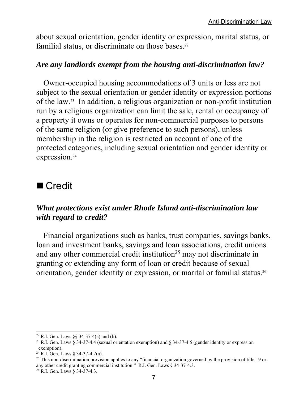about sexual orientation, gender identity or expression, marital status, or familial status, or discriminate on those bases.<sup>22</sup>

#### *Are any landlords exempt from the housing anti-discrimination law?*

Owner-occupied housing accommodations of 3 units or less are not subject to the sexual orientation or gender identity or expression portions of the law.23 In addition, a religious organization or non-profit institution run by a religious organization can limit the sale, rental or occupancy of a property it owns or operates for non-commercial purposes to persons of the same religion (or give preference to such persons), unless membership in the religion is restricted on account of one of the protected categories, including sexual orientation and gender identity or expression.<sup>24</sup>

## ■ Credit

#### *What protections exist under Rhode Island anti-discrimination law with regard to credit?*

Financial organizations such as banks, trust companies, savings banks, loan and investment banks, savings and loan associations, credit unions and any other commercial credit institution<sup>25</sup> may not discriminate in granting or extending any form of loan or credit because of sexual orientation, gender identity or expression, or marital or familial status.26

 $\overline{a}$ <sup>22</sup> R.I. Gen. Laws §§ 34-37-4(a) and (b).

<sup>23</sup> R.I. Gen. Laws § 34-37-4.4 (sexual orientation exemption) and § 34-37-4.5 (gender identity or expression exemption).

<sup>24</sup> R.I. Gen. Laws § 34-37-4.2(a).

<sup>&</sup>lt;sup>25</sup> This non-discrimination provision applies to any "financial organization governed by the provision of title 19 or any other credit granting commercial institution." R.I. Gen. Laws § 34-37-4.3.

<sup>26</sup> R.I. Gen. Laws § 34-37-4.3.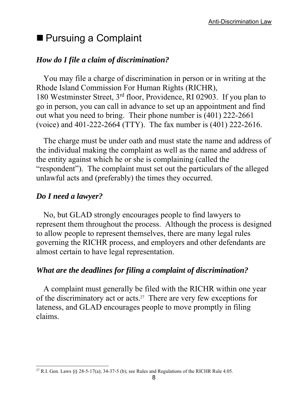## ■ Pursuing a Complaint

#### *How do I file a claim of discrimination?*

You may file a charge of discrimination in person or in writing at the Rhode Island Commission For Human Rights (RICHR), 180 Westminster Street, 3rd floor, Providence, RI 02903. If you plan to go in person, you can call in advance to set up an appointment and find out what you need to bring. Their phone number is (401) 222-2661 (voice) and 401-222-2664 (TTY). The fax number is (401) 222-2616.

The charge must be under oath and must state the name and address of the individual making the complaint as well as the name and address of the entity against which he or she is complaining (called the "respondent"). The complaint must set out the particulars of the alleged unlawful acts and (preferably) the times they occurred.

#### *Do I need a lawyer?*

No, but GLAD strongly encourages people to find lawyers to represent them throughout the process. Although the process is designed to allow people to represent themselves, there are many legal rules governing the RICHR process, and employers and other defendants are almost certain to have legal representation.

#### *What are the deadlines for filing a complaint of discrimination?*

A complaint must generally be filed with the RICHR within one year of the discriminatory act or acts.27 There are very few exceptions for lateness, and GLAD encourages people to move promptly in filing claims.

 $\overline{a}$ <sup>27</sup> R.I. Gen. Laws  $\S$   $\S$   $28$ -5-17(a); 34-37-5 (b); see Rules and Regulations of the RICHR Rule 4.05.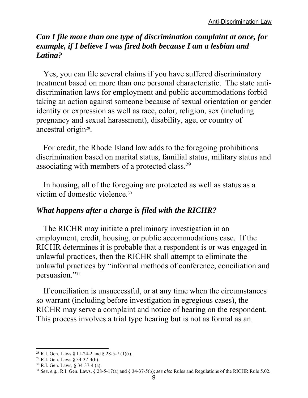#### *Can I file more than one type of discrimination complaint at once, for example, if I believe I was fired both because I am a lesbian and Latina?*

Yes, you can file several claims if you have suffered discriminatory treatment based on more than one personal characteristic. The state antidiscrimination laws for employment and public accommodations forbid taking an action against someone because of sexual orientation or gender identity or expression as well as race, color, religion, sex (including pregnancy and sexual harassment), disability, age, or country of ancestral origin<sup>28</sup>.

For credit, the Rhode Island law adds to the foregoing prohibitions discrimination based on marital status, familial status, military status and associating with members of a protected class.29

In housing, all of the foregoing are protected as well as status as a victim of domestic violence.30

#### *What happens after a charge is filed with the RICHR?*

The RICHR may initiate a preliminary investigation in an employment, credit, housing, or public accommodations case. If the RICHR determines it is probable that a respondent is or was engaged in unlawful practices, then the RICHR shall attempt to eliminate the unlawful practices by "informal methods of conference, conciliation and persuasion."31

If conciliation is unsuccessful, or at any time when the circumstances so warrant (including before investigation in egregious cases), the RICHR may serve a complaint and notice of hearing on the respondent. This process involves a trial type hearing but is not as formal as an

 $\overline{a}$ <sup>28</sup> R.I. Gen. Laws § 11-24-2 and § 28-5-7 (1)(i).

 $29$  R.I. Gen. Laws § 34-37-4(b).

<sup>30</sup> R.I. Gen. Laws, § 34-37-4 (a).

<sup>31</sup> *See, e.g.,* R.I. Gen. Laws, § 28-5-17(a) and § 34-37-5(b); *see also* Rules and Regulations of the RICHR Rule 5.02.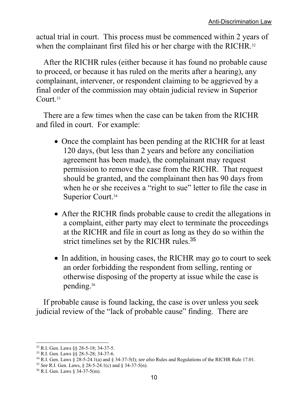actual trial in court. This process must be commenced within 2 years of when the complainant first filed his or her charge with the RICHR.<sup>32</sup>

After the RICHR rules (either because it has found no probable cause to proceed, or because it has ruled on the merits after a hearing), any complainant, intervener, or respondent claiming to be aggrieved by a final order of the commission may obtain judicial review in Superior Court.33

There are a few times when the case can be taken from the RICHR and filed in court. For example:

- Once the complaint has been pending at the RICHR for at least 120 days, (but less than 2 years and before any conciliation agreement has been made), the complainant may request permission to remove the case from the RICHR. That request should be granted, and the complainant then has 90 days from when he or she receives a "right to sue" letter to file the case in Superior Court.<sup>34</sup>
- After the RICHR finds probable cause to credit the allegations in a complaint, either party may elect to terminate the proceedings at the RICHR and file in court as long as they do so within the strict timelines set by the RICHR rules.<sup>35</sup>
- In addition, in housing cases, the RICHR may go to court to seek an order forbidding the respondent from selling, renting or otherwise disposing of the property at issue while the case is pending.36

If probable cause is found lacking, the case is over unless you seek judicial review of the "lack of probable cause" finding. There are

<sup>32</sup> R.I. Gen. Laws §§ 28-5-18; 34-37-5.

<sup>33</sup> R.I. Gen. Laws §§ 28-5-28; 34-37-6.

<sup>34</sup> R.I. Gen. Laws § 28-5-24.1(a) and § 34-37-5(l); *see also* Rules and Regulations of the RICHR Rule 17.01.

<sup>35</sup> *See* R.I. Gen. Laws, § 28-5-24.1(c) and § 34-37-5(n).

<sup>36</sup> R.I. Gen. Laws § 34-37-5(m).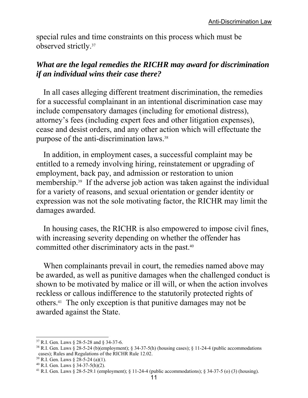special rules and time constraints on this process which must be observed strictly.37

#### *What are the legal remedies the RICHR may award for discrimination if an individual wins their case there?*

In all cases alleging different treatment discrimination, the remedies for a successful complainant in an intentional discrimination case may include compensatory damages (including for emotional distress), attorney's fees (including expert fees and other litigation expenses), cease and desist orders, and any other action which will effectuate the purpose of the anti-discrimination laws.38

In addition, in employment cases, a successful complaint may be entitled to a remedy involving hiring, reinstatement or upgrading of employment, back pay, and admission or restoration to union membership.<sup>39</sup> If the adverse job action was taken against the individual for a variety of reasons, and sexual orientation or gender identity or expression was not the sole motivating factor, the RICHR may limit the damages awarded.

In housing cases, the RICHR is also empowered to impose civil fines, with increasing severity depending on whether the offender has committed other discriminatory acts in the past.40

When complainants prevail in court, the remedies named above may be awarded, as well as punitive damages when the challenged conduct is shown to be motivated by malice or ill will, or when the action involves reckless or callous indifference to the statutorily protected rights of others.41 The only exception is that punitive damages may not be awarded against the State.

<sup>37</sup> R.I. Gen. Laws § 28-5-28 and § 34-37-6.

<sup>38</sup> R.I. Gen. Laws § 28-5-24 (b)(employment); § 34-37-5(h) (housing cases); § 11-24-4 (public accommodations cases); Rules and Regulations of the RICHR Rule 12.02.

 $39$  R.I. Gen. Laws § 28-5-24 (a)(1).

 $40$  R.I. Gen. Laws § 34-37-5(h)(2).

<sup>&</sup>lt;sup>41</sup> R.I. Gen. Laws  $\frac{8}{28}$ -5-29.1 (employment);  $\frac{8}{11}$ -24-4 (public accommodations);  $\frac{8}{34}$ -37-5 (o) (3) (housing).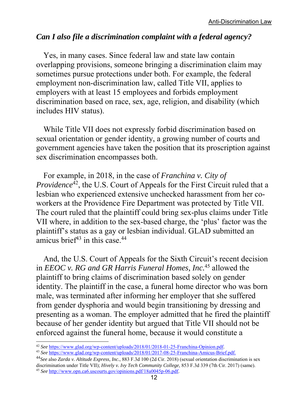#### *Can I also file a discrimination complaint with a federal agency?*

Yes, in many cases. Since federal law and state law contain overlapping provisions, someone bringing a discrimination claim may sometimes pursue protections under both. For example, the federal employment non-discrimination law, called Title VII, applies to employers with at least 15 employees and forbids employment discrimination based on race, sex, age, religion, and disability (which includes HIV status).

While Title VII does not expressly forbid discrimination based on sexual orientation or gender identity, a growing number of courts and government agencies have taken the position that its proscription against sex discrimination encompasses both.

For example, in 2018, in the case of *Franchina v. City of Providence*42, the U.S. Court of Appeals for the First Circuit ruled that a lesbian who experienced extensive unchecked harassment from her coworkers at the Providence Fire Department was protected by Title VII. The court ruled that the plaintiff could bring sex-plus claims under Title VII where, in addition to the sex-based charge, the 'plus' factor was the plaintiff's status as a gay or lesbian individual. GLAD submitted an amicus brief $43$  in this case. $44$ 

And, the U.S. Court of Appeals for the Sixth Circuit's recent decision in *EEOC v. RG and GR Harris Funeral Homes, Inc.*45 allowed the plaintiff to bring claims of discrimination based solely on gender identity. The plaintiff in the case, a funeral home director who was born male, was terminated after informing her employer that she suffered from gender dysphoria and would begin transitioning by dressing and presenting as a woman. The employer admitted that he fired the plaintiff because of her gender identity but argued that Title VII should not be enforced against the funeral home, because it would constitute a

<sup>42</sup> *See* https://www.glad.org/wp-content/uploads/2018/01/2018-01-25-Franchina-Opinion.pdf. 43 *See* https://www.glad.org/wp-content/uploads/2018/01/2017-08-25-Franchina-Amicus-Brief.pdf.

<sup>44</sup>*See* also *Zarda v. Altitude Express, Inc.*, 883 F.3d 100 (2d Cir. 2018) (sexual orientation discrimination is sex discrimination under Title VII); *Hively v. Ivy Tech Community College*, 853 F.3d 339 (7th Cir. 2017) (same). <sup>45</sup> *See* http://www.opn.ca6.uscourts.gov/opinions.pdf/18a0045p-06.pdf.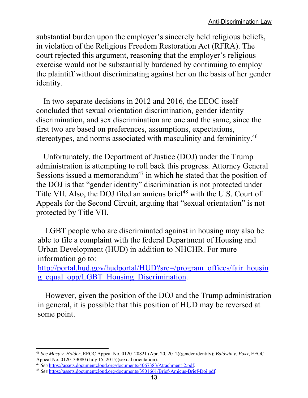substantial burden upon the employer's sincerely held religious beliefs, in violation of the Religious Freedom Restoration Act (RFRA). The court rejected this argument, reasoning that the employer's religious exercise would not be substantially burdened by continuing to employ the plaintiff without discriminating against her on the basis of her gender identity.

In two separate decisions in 2012 and 2016, the EEOC itself concluded that sexual orientation discrimination, gender identity discrimination, and sex discrimination are one and the same, since the first two are based on preferences, assumptions, expectations, stereotypes, and norms associated with masculinity and femininity.46

Unfortunately, the Department of Justice (DOJ) under the Trump administration is attempting to roll back this progress. Attorney General Sessions issued a memorandum<sup>47</sup> in which he stated that the position of the DOJ is that "gender identity" discrimination is not protected under Title VII. Also, the DOJ filed an amicus brief<sup>48</sup> with the U.S. Court of Appeals for the Second Circuit, arguing that "sexual orientation" is not protected by Title VII.

LGBT people who are discriminated against in housing may also be able to file a complaint with the federal Department of Housing and Urban Development (HUD) in addition to NHCHR. For more information go to:

http://portal.hud.gov/hudportal/HUD?src=/program\_offices/fair\_housin g\_equal\_opp/LGBT\_Housing\_Discrimination.

However, given the position of the DOJ and the Trump administration in general, it is possible that this position of HUD may be reversed at some point.

<sup>46</sup> *See Macy v. Holder*, EEOC Appeal No. 0120120821 (Apr. 20, 2012)(gender identity); *Baldwin v. Foxx*, EEOC Appeal No. 0120133080 (July 15, 2015)(sexual orientation).<br><sup>47</sup> See https://assets.documentcloud.org/documents/4067383/Attachment-2.pdf.

<sup>&</sup>lt;sup>48</sup> See https://assets.documentcloud.org/documents/3901661/Brief-Amicus-Brief-Doj.pdf.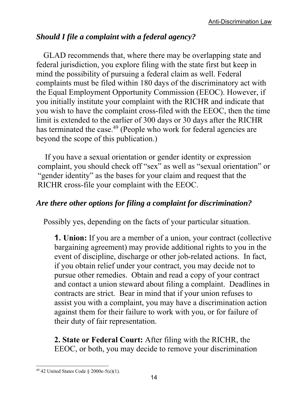#### *Should I file a complaint with a federal agency?*

GLAD recommends that, where there may be overlapping state and federal jurisdiction, you explore filing with the state first but keep in mind the possibility of pursuing a federal claim as well. Federal complaints must be filed within 180 days of the discriminatory act with the Equal Employment Opportunity Commission (EEOC). However, if you initially institute your complaint with the RICHR and indicate that you wish to have the complaint cross-filed with the EEOC, then the time limit is extended to the earlier of 300 days or 30 days after the RICHR has terminated the case.<sup>49</sup> (People who work for federal agencies are beyond the scope of this publication.)

If you have a sexual orientation or gender identity or expression complaint, you should check off "sex" as well as "sexual orientation" or "gender identity" as the bases for your claim and request that the RICHR cross-file your complaint with the EEOC.

#### *Are there other options for filing a complaint for discrimination?*

Possibly yes, depending on the facts of your particular situation.

**1. Union:** If you are a member of a union, your contract (collective bargaining agreement) may provide additional rights to you in the event of discipline, discharge or other job-related actions. In fact, if you obtain relief under your contract, you may decide not to pursue other remedies. Obtain and read a copy of your contract and contact a union steward about filing a complaint. Deadlines in contracts are strict. Bear in mind that if your union refuses to assist you with a complaint, you may have a discrimination action against them for their failure to work with you, or for failure of their duty of fair representation.

**2. State or Federal Court:** After filing with the RICHR, the EEOC, or both, you may decide to remove your discrimination

 $\overline{a}$ <sup>49</sup> 42 United States Code  $\S$  2000e-5(e)(1).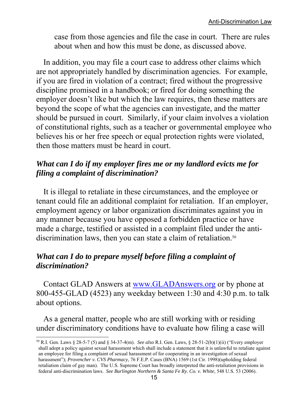case from those agencies and file the case in court. There are rules about when and how this must be done, as discussed above.

In addition, you may file a court case to address other claims which are not appropriately handled by discrimination agencies. For example, if you are fired in violation of a contract; fired without the progressive discipline promised in a handbook; or fired for doing something the employer doesn't like but which the law requires, then these matters are beyond the scope of what the agencies can investigate, and the matter should be pursued in court. Similarly, if your claim involves a violation of constitutional rights, such as a teacher or governmental employee who believes his or her free speech or equal protection rights were violated, then those matters must be heard in court.

#### *What can I do if my employer fires me or my landlord evicts me for filing a complaint of discrimination?*

It is illegal to retaliate in these circumstances, and the employee or tenant could file an additional complaint for retaliation. If an employer, employment agency or labor organization discriminates against you in any manner because you have opposed a forbidden practice or have made a charge, testified or assisted in a complaint filed under the antidiscrimination laws, then you can state a claim of retaliation.<sup>50</sup>

#### *What can I do to prepare myself before filing a complaint of discrimination?*

Contact GLAD Answers at www.GLADAnswers.org or by phone at 800-455-GLAD (4523) any weekday between 1:30 and 4:30 p.m. to talk about options.

As a general matter, people who are still working with or residing under discriminatory conditions have to evaluate how filing a case will

<sup>50</sup> R.I. Gen. Laws § 28-5-7 (5) and § 34-37-4(m). *See also* R.I. Gen. Laws, § 28-51-2(b)(1)(ii) ("Every employer shall adopt a policy against sexual harassment which shall include a statement that it is unlawful to retaliate against an employee for filing a complaint of sexual harassment of for cooperating in an investigation of sexual harassment"); *Provencher v. CVS Pharmacy,* 76 F.E.P. Cases (BNA) 1569 (1st Cir. 1998)(upholding federal retaliation claim of gay man). The U.S. Supreme Court has broadly interpreted the anti-retaliation provisions in federal anti-discrimination laws. *See Burlington Northern & Santa Fe Ry. Co. v. White*, 548 U.S. 53 (2006).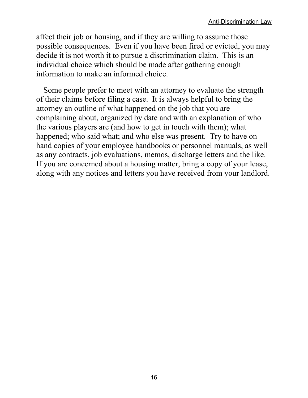affect their job or housing, and if they are willing to assume those possible consequences. Even if you have been fired or evicted, you may decide it is not worth it to pursue a discrimination claim. This is an individual choice which should be made after gathering enough information to make an informed choice.

Some people prefer to meet with an attorney to evaluate the strength of their claims before filing a case. It is always helpful to bring the attorney an outline of what happened on the job that you are complaining about, organized by date and with an explanation of who the various players are (and how to get in touch with them); what happened; who said what; and who else was present. Try to have on hand copies of your employee handbooks or personnel manuals, as well as any contracts, job evaluations, memos, discharge letters and the like. If you are concerned about a housing matter, bring a copy of your lease, along with any notices and letters you have received from your landlord.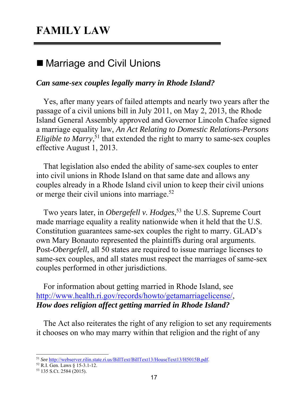## **FAMILY LAW**

## ■ Marriage and Civil Unions

#### *Can same-sex couples legally marry in Rhode Island?*

Yes, after many years of failed attempts and nearly two years after the passage of a civil unions bill in July 2011, on May 2, 2013, the Rhode Island General Assembly approved and Governor Lincoln Chafee signed a marriage equality law, *An Act Relating to Domestic Relations-Persons Eligible to Marry*,<sup>51</sup> that extended the right to marry to same-sex couples effective August 1, 2013.

That legislation also ended the ability of same-sex couples to enter into civil unions in Rhode Island on that same date and allows any couples already in a Rhode Island civil union to keep their civil unions or merge their civil unions into marriage.<sup>52</sup>

Two years later, in *Obergefell v. Hodges*, 53 the U.S. Supreme Court made marriage equality a reality nationwide when it held that the U.S. Constitution guarantees same-sex couples the right to marry. GLAD's own Mary Bonauto represented the plaintiffs during oral arguments. Post-*Obergefell*, all 50 states are required to issue marriage licenses to same-sex couples, and all states must respect the marriages of same-sex couples performed in other jurisdictions.

For information about getting married in Rhode Island, see http://www.health.ri.gov/records/howto/getamarriagelicense/, *How does religion affect getting married in Rhode Island?* 

The Act also reiterates the right of any religion to set any requirements it chooses on who may marry within that religion and the right of any

<sup>51</sup> *See* http://webserver.rilin.state.ri.us/BillText/BillText13/HouseText13/H5015B.pdf. 52 R.I. Gen. Laws § 15-3.1-12.

<sup>53 135</sup> S.Ct. 2584 (2015).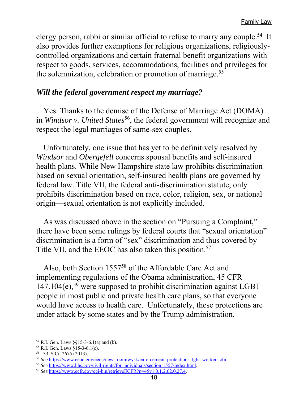clergy person, rabbi or similar official to refuse to marry any couple.54 It also provides further exemptions for religious organizations, religiouslycontrolled organizations and certain fraternal benefit organizations with respect to goods, services, accommodations, facilities and privileges for the solemnization, celebration or promotion of marriage.<sup>55</sup>

#### *Will the federal government respect my marriage?*

Yes. Thanks to the demise of the Defense of Marriage Act (DOMA) in *Windsor v. United States*<sup>56</sup>, the federal government will recognize and respect the legal marriages of same-sex couples.

Unfortunately, one issue that has yet to be definitively resolved by *Windsor* and *Obergefell* concerns spousal benefits and self-insured health plans. While New Hampshire state law prohibits discrimination based on sexual orientation, self-insured health plans are governed by federal law. Title VII, the federal anti-discrimination statute, only prohibits discrimination based on race, color, religion, sex, or national origin—sexual orientation is not explicitly included.

As was discussed above in the section on "Pursuing a Complaint," there have been some rulings by federal courts that "sexual orientation" discrimination is a form of "sex" discrimination and thus covered by Title VII, and the EEOC has also taken this position.<sup>57</sup>

Also, both Section 155758 of the Affordable Care Act and implementing regulations of the Obama administration, 45 CFR  $147.104(e)$ ,<sup>59</sup> were supposed to prohibit discrimination against LGBT people in most public and private health care plans, so that everyone would have access to health care. Unfortunately, these protections are under attack by some states and by the Trump administration.

 $\overline{a}$ 54 R.I. Gen. Laws §§15-3-6.1(a) and (b).

<sup>55</sup> R.I. Gen. Laws §15-3-6.1(c).

<sup>56 133.</sup> S.Ct. 2675 (2013).

<sup>&</sup>lt;sup>57</sup> See https://www.eeoc.gov/eeoc/newsroom/wysk/enforcement\_protections\_lgbt\_workers.cfm.<br><sup>58</sup> See https://www.hhs.gov/civil-rights/for-individuals/section-1557/index.html.<br><sup>59</sup> See https://www.ecfr.gov/cgi-bin/retrieveEC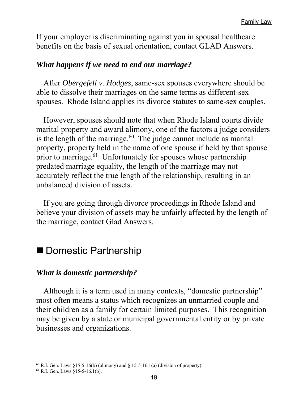If your employer is discriminating against you in spousal healthcare benefits on the basis of sexual orientation, contact GLAD Answers.

#### *What happens if we need to end our marriage?*

After *Obergefell v. Hodges*, same-sex spouses everywhere should be able to dissolve their marriages on the same terms as different-sex spouses. Rhode Island applies its divorce statutes to same-sex couples.

However, spouses should note that when Rhode Island courts divide marital property and award alimony, one of the factors a judge considers is the length of the marriage.<sup>60</sup> The judge cannot include as marital property, property held in the name of one spouse if held by that spouse prior to marriage.<sup>61</sup> Unfortunately for spouses whose partnership predated marriage equality, the length of the marriage may not accurately reflect the true length of the relationship, resulting in an unbalanced division of assets.

If you are going through divorce proceedings in Rhode Island and believe your division of assets may be unfairly affected by the length of the marriage, contact Glad Answers.

#### ■ Domestic Partnership

#### *What is domestic partnership?*

Although it is a term used in many contexts, "domestic partnership" most often means a status which recognizes an unmarried couple and their children as a family for certain limited purposes. This recognition may be given by a state or municipal governmental entity or by private businesses and organizations.

 $60$  R.I. Gen. Laws §15-5-16(b) (alimony) and § 15-5-16.1(a) (division of property).

 $61$  R.I. Gen. Laws  $\S15-5-16.1(b)$ .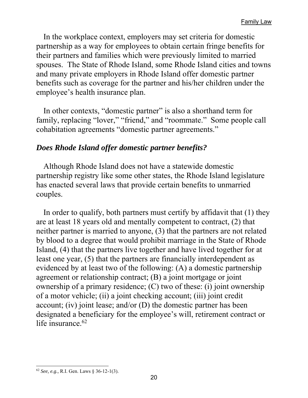In the workplace context, employers may set criteria for domestic partnership as a way for employees to obtain certain fringe benefits for their partners and families which were previously limited to married spouses. The State of Rhode Island, some Rhode Island cities and towns and many private employers in Rhode Island offer domestic partner benefits such as coverage for the partner and his/her children under the employee's health insurance plan.

In other contexts, "domestic partner" is also a shorthand term for family, replacing "lover," "friend," and "roommate." Some people call cohabitation agreements "domestic partner agreements."

#### *Does Rhode Island offer domestic partner benefits?*

Although Rhode Island does not have a statewide domestic partnership registry like some other states, the Rhode Island legislature has enacted several laws that provide certain benefits to unmarried couples.

In order to qualify, both partners must certify by affidavit that (1) they are at least 18 years old and mentally competent to contract, (2) that neither partner is married to anyone, (3) that the partners are not related by blood to a degree that would prohibit marriage in the State of Rhode Island, (4) that the partners live together and have lived together for at least one year, (5) that the partners are financially interdependent as evidenced by at least two of the following: (A) a domestic partnership agreement or relationship contract; (B) a joint mortgage or joint ownership of a primary residence; (C) two of these: (i) joint ownership of a motor vehicle; (ii) a joint checking account; (iii) joint credit account; (iv) joint lease; and/or (D) the domestic partner has been designated a beneficiary for the employee's will, retirement contract or life insurance.<sup>62</sup>

 $\overline{a}$ <sup>62</sup> *See, e.g.,* R.I. Gen. Laws § 36-12-1(3).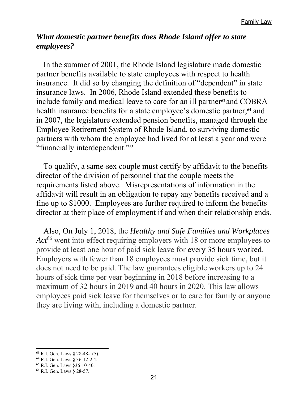#### *What domestic partner benefits does Rhode Island offer to state employees?*

In the summer of 2001, the Rhode Island legislature made domestic partner benefits available to state employees with respect to health insurance. It did so by changing the definition of "dependent" in state insurance laws. In 2006, Rhode Island extended these benefits to include family and medical leave to care for an ill partner<sup>63</sup> and COBRA health insurance benefits for a state employee's domestic partner;<sup>64</sup> and in 2007, the legislature extended pension benefits, managed through the Employee Retirement System of Rhode Island, to surviving domestic partners with whom the employee had lived for at least a year and were "financially interdependent."65

To qualify, a same-sex couple must certify by affidavit to the benefits director of the division of personnel that the couple meets the requirements listed above. Misrepresentations of information in the affidavit will result in an obligation to repay any benefits received and a fine up to \$1000. Employees are further required to inform the benefits director at their place of employment if and when their relationship ends.

Also, On July 1, 2018, the *Healthy and Safe Families and Workplaces*  Act<sup>66</sup> went into effect requiring employers with 18 or more employees to provide at least one hour of paid sick leave for every 35 hours worked. Employers with fewer than 18 employees must provide sick time, but it does not need to be paid. The law guarantees eligible workers up to 24 hours of sick time per year beginning in 2018 before increasing to a maximum of 32 hours in 2019 and 40 hours in 2020. This law allows employees paid sick leave for themselves or to care for family or anyone they are living with, including a domestic partner.

<sup>63</sup> R.I. Gen. Laws § 28-48-1(5).

<sup>64</sup> R.I. Gen. Laws § 36-12-2.4.

<sup>65</sup> R.I. Gen. Laws §36-10-40.

<sup>66</sup> R.I. Gen. Laws § 28-57.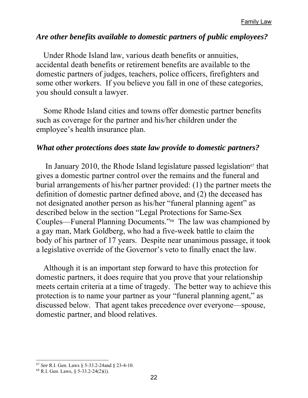#### *Are other benefits available to domestic partners of public employees?*

Under Rhode Island law, various death benefits or annuities, accidental death benefits or retirement benefits are available to the domestic partners of judges, teachers, police officers, firefighters and some other workers. If you believe you fall in one of these categories, you should consult a lawyer.

Some Rhode Island cities and towns offer domestic partner benefits such as coverage for the partner and his/her children under the employee's health insurance plan.

#### *What other protections does state law provide to domestic partners?*

In January 2010, the Rhode Island legislature passed legislation $67$  that gives a domestic partner control over the remains and the funeral and burial arrangements of his/her partner provided: (1) the partner meets the definition of domestic partner defined above, and (2) the deceased has not designated another person as his/her "funeral planning agent" as described below in the section "Legal Protections for Same-Sex Couples—Funeral Planning Documents."68 The law was championed by a gay man, Mark Goldberg, who had a five-week battle to claim the body of his partner of 17 years. Despite near unanimous passage, it took a legislative override of the Governor's veto to finally enact the law.

Although it is an important step forward to have this protection for domestic partners, it does require that you prove that your relationship meets certain criteria at a time of tragedy. The better way to achieve this protection is to name your partner as your "funeral planning agent," as discussed below. That agent takes precedence over everyone—spouse, domestic partner, and blood relatives.

 $\overline{a}$ <sup>67</sup> *See* R.I. Gen. Laws § 5-33.2-24and § 23-4-10.

 $68$  R.I. Gen. Laws,  $\frac{6}{5}$  5-33.2-24(2)(i).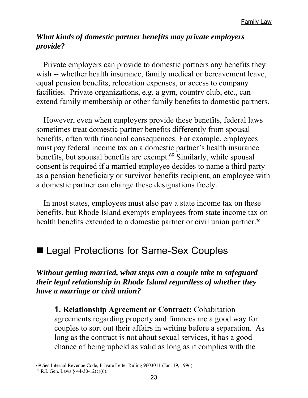#### *What kinds of domestic partner benefits may private employers provide?*

Private employers can provide to domestic partners any benefits they wish -- whether health insurance, family medical or bereavement leave, equal pension benefits, relocation expenses, or access to company facilities. Private organizations, e.g. a gym, country club, etc., can extend family membership or other family benefits to domestic partners.

However, even when employers provide these benefits, federal laws sometimes treat domestic partner benefits differently from spousal benefits, often with financial consequences. For example, employees must pay federal income tax on a domestic partner's health insurance benefits, but spousal benefits are exempt.<sup>69</sup> Similarly, while spousal consent is required if a married employee decides to name a third party as a pension beneficiary or survivor benefits recipient, an employee with a domestic partner can change these designations freely.

In most states, employees must also pay a state income tax on these benefits, but Rhode Island exempts employees from state income tax on health benefits extended to a domestic partner or civil union partner.<sup>70</sup>

## ■ Legal Protections for Same-Sex Couples

*Without getting married, what steps can a couple take to safeguard their legal relationship in Rhode Island regardless of whether they have a marriage or civil union?* 

**1. Relationship Agreement or Contract:** Cohabitation agreements regarding property and finances are a good way for couples to sort out their affairs in writing before a separation. As long as the contract is not about sexual services, it has a good chance of being upheld as valid as long as it complies with the

<sup>69</sup> *See* Internal Revenue Code, Private Letter Ruling 9603011 (Jan. 19, 1996).

 $70$  R.I. Gen. Laws  $\frac{24}{30}$ -12(c)(6).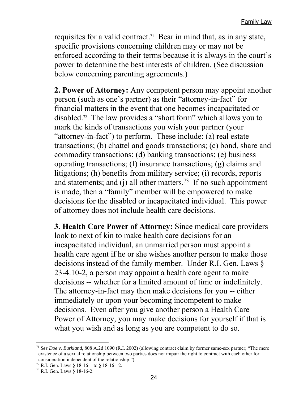requisites for a valid contract.<sup>71</sup> Bear in mind that, as in any state, specific provisions concerning children may or may not be enforced according to their terms because it is always in the court's power to determine the best interests of children. (See discussion below concerning parenting agreements.)

**2. Power of Attorney:** Any competent person may appoint another person (such as one's partner) as their "attorney-in-fact" for financial matters in the event that one becomes incapacitated or disabled.72 The law provides a "short form" which allows you to mark the kinds of transactions you wish your partner (your "attorney-in-fact") to perform. These include: (a) real estate transactions; (b) chattel and goods transactions; (c) bond, share and commodity transactions; (d) banking transactions; (e) business operating transactions; (f) insurance transactions; (g) claims and litigations; (h) benefits from military service; (i) records, reports and statements; and (j) all other matters.<sup>73</sup> If no such appointment is made, then a "family" member will be empowered to make decisions for the disabled or incapacitated individual. This power of attorney does not include health care decisions.

**3. Health Care Power of Attorney:** Since medical care providers look to next of kin to make health care decisions for an incapacitated individual, an unmarried person must appoint a health care agent if he or she wishes another person to make those decisions instead of the family member. Under R.I. Gen. Laws § 23-4.10-2, a person may appoint a health care agent to make decisions -- whether for a limited amount of time or indefinitely. The attorney-in-fact may then make decisions for you -- either immediately or upon your becoming incompetent to make decisions. Even after you give another person a Health Care Power of Attorney, you may make decisions for yourself if that is what you wish and as long as you are competent to do so.

<sup>71</sup> *See Doe v. Burkland*, 808 A.2d 1090 (R.I. 2002) (allowing contract claim by former same-sex partner; "The mere existence of a sexual relationship between two parties does not impair the right to contract with each other for consideration independent of the relationship.").

<sup>72</sup> R.I. Gen. Laws § 18-16-1 to § 18-16-12.

<sup>73</sup> R.I. Gen. Laws § 18-16-2.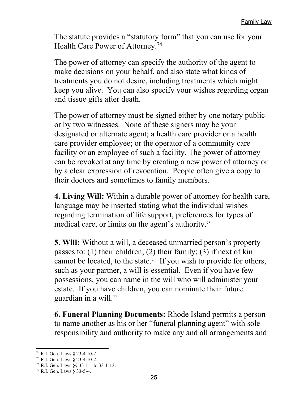The statute provides a "statutory form" that you can use for your Health Care Power of Attorney.74

The power of attorney can specify the authority of the agent to make decisions on your behalf, and also state what kinds of treatments you do not desire, including treatments which might keep you alive. You can also specify your wishes regarding organ and tissue gifts after death.

The power of attorney must be signed either by one notary public or by two witnesses. None of these signers may be your designated or alternate agent; a health care provider or a health care provider employee; or the operator of a community care facility or an employee of such a facility. The power of attorney can be revoked at any time by creating a new power of attorney or by a clear expression of revocation. People often give a copy to their doctors and sometimes to family members.

**4. Living Will:** Within a durable power of attorney for health care, language may be inserted stating what the individual wishes regarding termination of life support, preferences for types of medical care, or limits on the agent's authority.75

**5. Will:** Without a will, a deceased unmarried person's property passes to: (1) their children; (2) their family; (3) if next of kin cannot be located, to the state.76 If you wish to provide for others, such as your partner, a will is essential. Even if you have few possessions, you can name in the will who will administer your estate. If you have children, you can nominate their future guardian in a will.<sup>77</sup>

**6. Funeral Planning Documents:** Rhode Island permits a person to name another as his or her "funeral planning agent" with sole responsibility and authority to make any and all arrangements and

<sup>74</sup> R.I. Gen. Laws § 23-4.10-2.

<sup>75</sup> R.I. Gen. Laws § 23-4.10-2.

<sup>76</sup> R.I. Gen. Laws §§ 33-1-1 to 33-1-13.

<sup>77</sup> R.I. Gen. Laws § 33-5-4.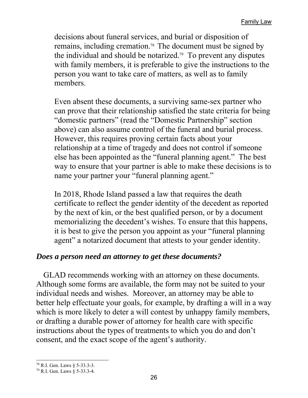decisions about funeral services, and burial or disposition of remains, including cremation.78 The document must be signed by the individual and should be notarized.79 To prevent any disputes with family members, it is preferable to give the instructions to the person you want to take care of matters, as well as to family members.

Even absent these documents, a surviving same-sex partner who can prove that their relationship satisfied the state criteria for being "domestic partners" (read the "Domestic Partnership" section above) can also assume control of the funeral and burial process. However, this requires proving certain facts about your relationship at a time of tragedy and does not control if someone else has been appointed as the "funeral planning agent." The best way to ensure that your partner is able to make these decisions is to name your partner your "funeral planning agent."

In 2018, Rhode Island passed a law that requires the death certificate to reflect the gender identity of the decedent as reported by the next of kin, or the best qualified person, or by a document memorializing the decedent's wishes. To ensure that this happens, it is best to give the person you appoint as your "funeral planning agent" a notarized document that attests to your gender identity.

#### *Does a person need an attorney to get these documents?*

GLAD recommends working with an attorney on these documents. Although some forms are available, the form may not be suited to your individual needs and wishes. Moreover, an attorney may be able to better help effectuate your goals, for example, by drafting a will in a way which is more likely to deter a will contest by unhappy family members, or drafting a durable power of attorney for health care with specific instructions about the types of treatments to which you do and don't consent, and the exact scope of the agent's authority.

 $\overline{a}$ 78 R.I. Gen. Laws § 5-33.3-3.

<sup>79</sup> R.I. Gen. Laws § 5-33.3-4.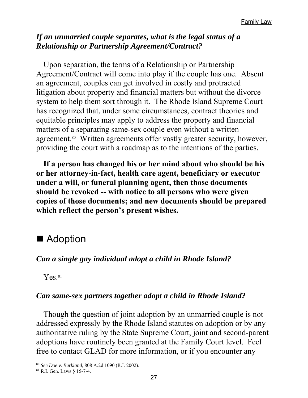#### *If an unmarried couple separates, what is the legal status of a Relationship or Partnership Agreement/Contract?*

Upon separation, the terms of a Relationship or Partnership Agreement/Contract will come into play if the couple has one. Absent an agreement, couples can get involved in costly and protracted litigation about property and financial matters but without the divorce system to help them sort through it. The Rhode Island Supreme Court has recognized that, under some circumstances, contract theories and equitable principles may apply to address the property and financial matters of a separating same-sex couple even without a written agreement.<sup>80</sup> Written agreements offer vastly greater security, however, providing the court with a roadmap as to the intentions of the parties.

**If a person has changed his or her mind about who should be his or her attorney-in-fact, health care agent, beneficiary or executor under a will, or funeral planning agent, then those documents should be revoked -- with notice to all persons who were given copies of those documents; and new documents should be prepared which reflect the person's present wishes.** 

## ■ Adoption

#### *Can a single gay individual adopt a child in Rhode Island?*

 $Yes<sup>81</sup>$ 

#### *Can same-sex partners together adopt a child in Rhode Island?*

Though the question of joint adoption by an unmarried couple is not addressed expressly by the Rhode Island statutes on adoption or by any authoritative ruling by the State Supreme Court, joint and second-parent adoptions have routinely been granted at the Family Court level. Feel free to contact GLAD for more information, or if you encounter any

<sup>80</sup> *See Doe v. Burkland*, 808 A.2d 1090 (R.I. 2002).

<sup>81</sup> R.I. Gen. Laws § 15-7-4.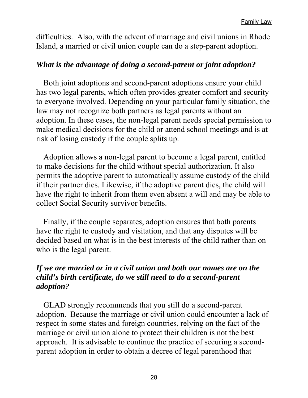difficulties. Also, with the advent of marriage and civil unions in Rhode Island, a married or civil union couple can do a step-parent adoption.

#### *What is the advantage of doing a second-parent or joint adoption?*

Both joint adoptions and second-parent adoptions ensure your child has two legal parents, which often provides greater comfort and security to everyone involved. Depending on your particular family situation, the law may not recognize both partners as legal parents without an adoption. In these cases, the non-legal parent needs special permission to make medical decisions for the child or attend school meetings and is at risk of losing custody if the couple splits up.

Adoption allows a non-legal parent to become a legal parent, entitled to make decisions for the child without special authorization. It also permits the adoptive parent to automatically assume custody of the child if their partner dies. Likewise, if the adoptive parent dies, the child will have the right to inherit from them even absent a will and may be able to collect Social Security survivor benefits.

Finally, if the couple separates, adoption ensures that both parents have the right to custody and visitation, and that any disputes will be decided based on what is in the best interests of the child rather than on who is the legal parent.

#### *If we are married or in a civil union and both our names are on the child's birth certificate, do we still need to do a second-parent adoption?*

GLAD strongly recommends that you still do a second-parent adoption. Because the marriage or civil union could encounter a lack of respect in some states and foreign countries, relying on the fact of the marriage or civil union alone to protect their children is not the best approach. It is advisable to continue the practice of securing a secondparent adoption in order to obtain a decree of legal parenthood that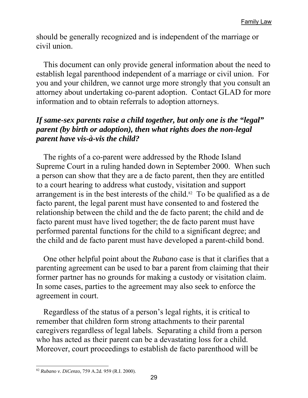should be generally recognized and is independent of the marriage or civil union.

This document can only provide general information about the need to establish legal parenthood independent of a marriage or civil union. For you and your children, we cannot urge more strongly that you consult an attorney about undertaking co-parent adoption. Contact GLAD for more information and to obtain referrals to adoption attorneys.

#### *If same-sex parents raise a child together, but only one is the "legal" parent (by birth or adoption), then what rights does the non-legal parent have vis-à-vis the child?*

The rights of a co-parent were addressed by the Rhode Island Supreme Court in a ruling handed down in September 2000. When such a person can show that they are a de facto parent, then they are entitled to a court hearing to address what custody, visitation and support arrangement is in the best interests of the child.<sup>82</sup> To be qualified as a de facto parent, the legal parent must have consented to and fostered the relationship between the child and the de facto parent; the child and de facto parent must have lived together; the de facto parent must have performed parental functions for the child to a significant degree; and the child and de facto parent must have developed a parent-child bond.

One other helpful point about the *Rubano* case is that it clarifies that a parenting agreement can be used to bar a parent from claiming that their former partner has no grounds for making a custody or visitation claim. In some cases, parties to the agreement may also seek to enforce the agreement in court.

Regardless of the status of a person's legal rights, it is critical to remember that children form strong attachments to their parental caregivers regardless of legal labels. Separating a child from a person who has acted as their parent can be a devastating loss for a child. Moreover, court proceedings to establish de facto parenthood will be

<sup>82</sup> *Rubano v. DiCenzo*, 759 A.2d. 959 (R.I. 2000).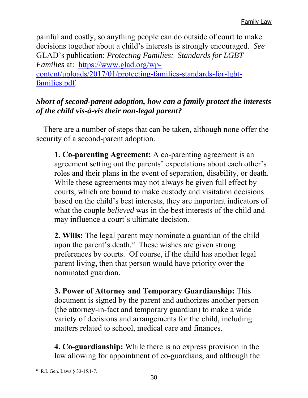painful and costly, so anything people can do outside of court to make decisions together about a child's interests is strongly encouraged. *See* GLAD's publication: *Protecting Families: Standards for LGBT Families* at: https://www.glad.org/wpcontent/uploads/2017/01/protecting-families-standards-for-lgbtfamilies.pdf.

#### *Short of second-parent adoption, how can a family protect the interests of the child vis-à-vis their non-legal parent?*

There are a number of steps that can be taken, although none offer the security of a second-parent adoption.

**1. Co-parenting Agreement:** A co-parenting agreement is an agreement setting out the parents' expectations about each other's roles and their plans in the event of separation, disability, or death. While these agreements may not always be given full effect by courts, which are bound to make custody and visitation decisions based on the child's best interests, they are important indicators of what the couple *believed* was in the best interests of the child and may influence a court's ultimate decision.

**2. Wills:** The legal parent may nominate a guardian of the child upon the parent's death.<sup>83</sup> These wishes are given strong preferences by courts. Of course, if the child has another legal parent living, then that person would have priority over the nominated guardian.

**3. Power of Attorney and Temporary Guardianship:** This document is signed by the parent and authorizes another person (the attorney-in-fact and temporary guardian) to make a wide variety of decisions and arrangements for the child, including matters related to school, medical care and finances.

**4. Co-guardianship:** While there is no express provision in the law allowing for appointment of co-guardians, and although the

 $\overline{a}$ 83 R.I. Gen. Laws § 33-15.1-7.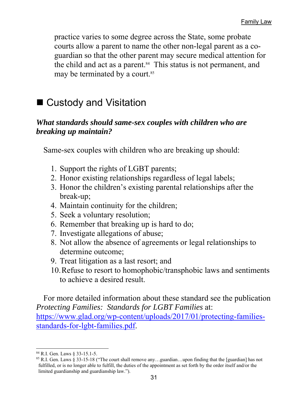practice varies to some degree across the State, some probate courts allow a parent to name the other non-legal parent as a coguardian so that the other parent may secure medical attention for the child and act as a parent.<sup>84</sup> This status is not permanent, and may be terminated by a court.<sup>85</sup>

## ■ Custody and Visitation

#### *What standards should same-sex couples with children who are breaking up maintain?*

Same-sex couples with children who are breaking up should:

- 1. Support the rights of LGBT parents;
- 2. Honor existing relationships regardless of legal labels;
- 3. Honor the children's existing parental relationships after the break-up;
- 4. Maintain continuity for the children;
- 5. Seek a voluntary resolution;
- 6. Remember that breaking up is hard to do;
- 7. Investigate allegations of abuse;
- 8. Not allow the absence of agreements or legal relationships to determine outcome;
- 9. Treat litigation as a last resort; and
- 10.Refuse to resort to homophobic/transphobic laws and sentiments to achieve a desired result.

For more detailed information about these standard see the publication *Protecting Families: Standards for LGBT Families* at: https://www.glad.org/wp-content/uploads/2017/01/protecting-familiesstandards-for-lgbt-families.pdf.

 $\overline{a}$ 84 R.I. Gen. Laws § 33-15.1-5.

<sup>85</sup> R.I. Gen. Laws § 33-15-18 ("The court shall remove any…guardian…upon finding that the [guardian] has not fulfilled, or is no longer able to fulfill, the duties of the appointment as set forth by the order itself and/or the limited guardianship and guardianship law.").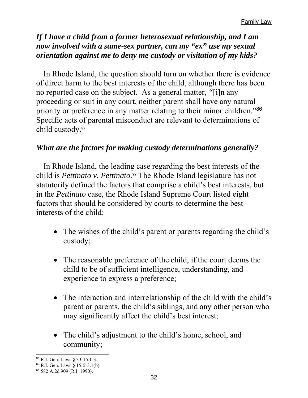#### *If I have a child from a former heterosexual relationship, and I am now involved with a same-sex partner, can my "ex" use my sexual orientation against me to deny me custody or visitation of my kids?*

In Rhode Island, the question should turn on whether there is evidence of direct harm to the best interests of the child, although there has been no reported case on the subject. As a general matter, *"*[i]n any proceeding or suit in any court, neither parent shall have any natural priority or preference in any matter relating to their minor children."<sup>86</sup> Specific acts of parental misconduct are relevant to determinations of child custody.87

#### *What are the factors for making custody determinations generally?*

In Rhode Island, the leading case regarding the best interests of the child is *Pettinato v. Pettinato*. 88 The Rhode Island legislature has not statutorily defined the factors that comprise a child's best interests, but in the *Pettinato* case, the Rhode Island Supreme Court listed eight factors that should be considered by courts to determine the best interests of the child:

- The wishes of the child's parent or parents regarding the child's custody;
- The reasonable preference of the child, if the court deems the child to be of sufficient intelligence, understanding, and experience to express a preference;
- The interaction and interrelationship of the child with the child's parent or parents, the child's siblings, and any other person who may significantly affect the child's best interest;
- The child's adjustment to the child's home, school, and community;

 $\overline{a}$ 86 R.I. Gen. Laws § 33-15.1-3.

 $87$  R.I. Gen. Laws  $\S$  15-5-3.1(b).

<sup>88 582</sup> A.2d 909 (R.I. 1990).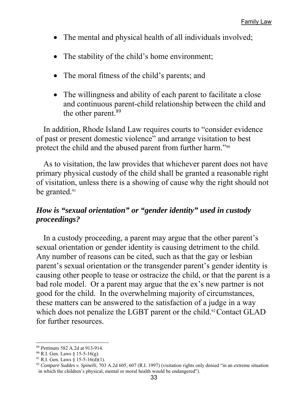- The mental and physical health of all individuals involved;
- The stability of the child's home environment;
- The moral fitness of the child's parents; and
- The willingness and ability of each parent to facilitate a close and continuous parent-child relationship between the child and the other parent.<sup>89</sup>

In addition, Rhode Island Law requires courts to "consider evidence of past or present domestic violence" and arrange visitation to best protect the child and the abused parent from further harm."90

As to visitation, the law provides that whichever parent does not have primary physical custody of the child shall be granted a reasonable right of visitation, unless there is a showing of cause why the right should not be granted.<sup>91</sup>

#### *How is "sexual orientation" or "gender identity" used in custody proceedings?*

In a custody proceeding, a parent may argue that the other parent's sexual orientation or gender identity is causing detriment to the child. Any number of reasons can be cited, such as that the gay or lesbian parent's sexual orientation or the transgender parent's gender identity is causing other people to tease or ostracize the child, or that the parent is a bad role model. Or a parent may argue that the ex's new partner is not good for the child. In the overwhelming majority of circumstances, these matters can be answered to the satisfaction of a judge in a way which does not penalize the LGBT parent or the child.<sup>92</sup> Contact GLAD for further resources.

 $\overline{a}$ <sup>89</sup> *Pettinato* 582 A.2d at 913-914.

 $90$  R.I. Gen. Laws § 15-5-16(g).

<sup>&</sup>lt;sup>91</sup> R.I. Gen. Laws § 15-5-16(d)(1).

<sup>92</sup> *Compare Suddes v. Spinelli*, 703 A.2d 605, 607 (R.I. 1997) (visitation rights only denied "in an extreme situation in which the children's physical, mental or moral health would be endangered").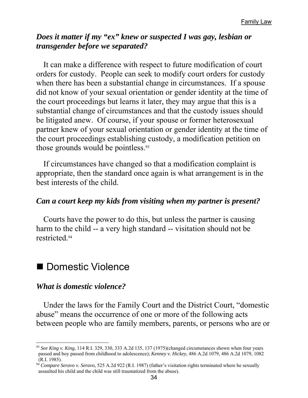#### *Does it matter if my "ex" knew or suspected I was gay, lesbian or transgender before we separated?*

It can make a difference with respect to future modification of court orders for custody. People can seek to modify court orders for custody when there has been a substantial change in circumstances. If a spouse did not know of your sexual orientation or gender identity at the time of the court proceedings but learns it later, they may argue that this is a substantial change of circumstances and that the custody issues should be litigated anew. Of course, if your spouse or former heterosexual partner knew of your sexual orientation or gender identity at the time of the court proceedings establishing custody, a modification petition on those grounds would be pointless.93

If circumstances have changed so that a modification complaint is appropriate, then the standard once again is what arrangement is in the best interests of the child.

#### *Can a court keep my kids from visiting when my partner is present?*

Courts have the power to do this, but unless the partner is causing harm to the child -- a very high standard -- visitation should not be restricted.94

#### Domestic Violence

#### *What is domestic violence?*

 $\overline{a}$ 

Under the laws for the Family Court and the District Court, "domestic abuse" means the occurrence of one or more of the following acts between people who are family members, parents, or persons who are or

<sup>93</sup> *See King v. King*, 114 R.I. 329, 330, 333 A.2d 135, 137 (1975)(changed circumstances shown when four years passed and boy passed from childhood to adolescence); *Kenney v. Hickey*, 486 A.2d 1079, 486 A.2d 1079, 1082 (R.I. 1985).

<sup>94</sup> *Compare Seravo v. Seravo*, 525 A.2d 922 (R.I. 1987) (father's visitation rights terminated where he sexually assaulted his child and the child was still traumatized from the abuse).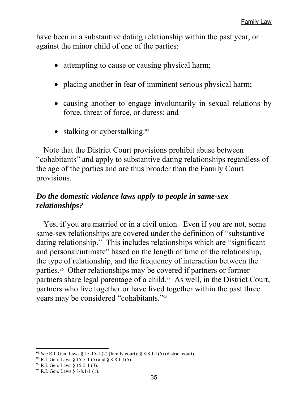have been in a substantive dating relationship within the past year, or against the minor child of one of the parties:

- attempting to cause or causing physical harm;
- placing another in fear of imminent serious physical harm;
- causing another to engage involuntarily in sexual relations by force, threat of force, or duress; and
- $\bullet$  stalking or cyberstalking.<sup>95</sup>

Note that the District Court provisions prohibit abuse between "cohabitants" and apply to substantive dating relationships regardless of the age of the parties and are thus broader than the Family Court provisions.

#### *Do the domestic violence laws apply to people in same-sex relationships?*

Yes, if you are married or in a civil union. Even if you are not, some same-sex relationships are covered under the definition of "substantive dating relationship." This includes relationships which are "significant and personal/intimate" based on the length of time of the relationship, the type of relationship, and the frequency of interaction between the parties.96 Other relationships may be covered if partners or former partners share legal parentage of a child.<sup>97</sup> As well, in the District Court, partners who live together or have lived together within the past three years may be considered "cohabitants."98

 $\overline{a}$ <sup>95</sup> *See* R.I. Gen. Laws § 15-15-1 (2) (family court); § 8-8.1-1(5) (district court).

 $96$  R.I. Gen. Laws § 15-5-1 (5) and § 8-8.1-1(5).

 $97$  R.I. Gen. Laws § 15-5-1 (3).

<sup>98</sup> R.I. Gen. Laws § 8-8.1-1 (1).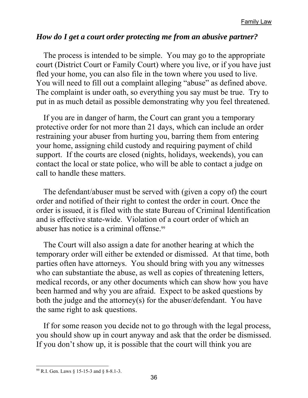#### *How do I get a court order protecting me from an abusive partner?*

The process is intended to be simple. You may go to the appropriate court (District Court or Family Court) where you live, or if you have just fled your home, you can also file in the town where you used to live. You will need to fill out a complaint alleging "abuse" as defined above. The complaint is under oath, so everything you say must be true. Try to put in as much detail as possible demonstrating why you feel threatened.

If you are in danger of harm, the Court can grant you a temporary protective order for not more than 21 days, which can include an order restraining your abuser from hurting you, barring them from entering your home, assigning child custody and requiring payment of child support. If the courts are closed (nights, holidays, weekends), you can contact the local or state police, who will be able to contact a judge on call to handle these matters.

The defendant/abuser must be served with (given a copy of) the court order and notified of their right to contest the order in court. Once the order is issued, it is filed with the state Bureau of Criminal Identification and is effective state-wide. Violation of a court order of which an abuser has notice is a criminal offense.<sup>99</sup>

The Court will also assign a date for another hearing at which the temporary order will either be extended or dismissed. At that time, both parties often have attorneys. You should bring with you any witnesses who can substantiate the abuse, as well as copies of threatening letters, medical records, or any other documents which can show how you have been harmed and why you are afraid. Expect to be asked questions by both the judge and the attorney(s) for the abuser/defendant. You have the same right to ask questions.

If for some reason you decide not to go through with the legal process, you should show up in court anyway and ask that the order be dismissed. If you don't show up, it is possible that the court will think you are

<sup>99</sup> R.I. Gen. Laws § 15-15-3 and § 8-8.1-3.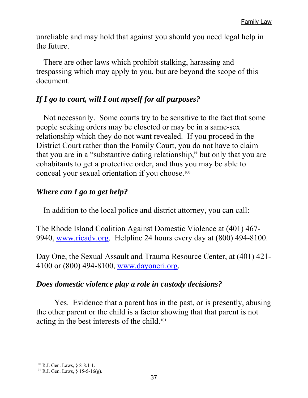unreliable and may hold that against you should you need legal help in the future.

There are other laws which prohibit stalking, harassing and trespassing which may apply to you, but are beyond the scope of this document.

#### *If I go to court, will I out myself for all purposes?*

Not necessarily. Some courts try to be sensitive to the fact that some people seeking orders may be closeted or may be in a same-sex relationship which they do not want revealed. If you proceed in the District Court rather than the Family Court, you do not have to claim that you are in a "substantive dating relationship," but only that you are cohabitants to get a protective order, and thus you may be able to conceal your sexual orientation if you choose.<sup>100</sup>

#### *Where can I go to get help?*

In addition to the local police and district attorney, you can call:

The Rhode Island Coalition Against Domestic Violence at (401) 467- 9940, www.ricadv.org. Helpline 24 hours every day at (800) 494-8100.

Day One, the Sexual Assault and Trauma Resource Center, at (401) 421- 4100 or (800) 494-8100, www.dayoneri.org.

#### *Does domestic violence play a role in custody decisions?*

 Yes. Evidence that a parent has in the past, or is presently, abusing the other parent or the child is a factor showing that that parent is not acting in the best interests of the child.101

 $\overline{a}$ 100 R.I. Gen. Laws, § 8-8.1-1.

 $101$  R.I. Gen. Laws,  $\hat{\delta}$  15-5-16(g).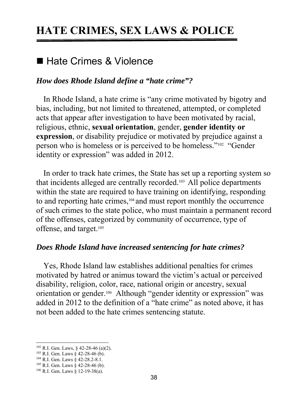## **HATE CRIMES, SEX LAWS & POLICE**

#### ■ Hate Crimes & Violence

#### *How does Rhode Island define a "hate crime"?*

In Rhode Island, a hate crime is "any crime motivated by bigotry and bias, including, but not limited to threatened, attempted, or completed acts that appear after investigation to have been motivated by racial, religious, ethnic, **sexual orientation**, gender, **gender identity or expression**, or disability prejudice or motivated by prejudice against a person who is homeless or is perceived to be homeless."102 "Gender identity or expression" was added in 2012.

In order to track hate crimes, the State has set up a reporting system so that incidents alleged are centrally recorded.103 All police departments within the state are required to have training on identifying, responding to and reporting hate crimes,104 and must report monthly the occurrence of such crimes to the state police, who must maintain a permanent record of the offenses, categorized by community of occurrence, type of offense, and target.<sup>105</sup>

#### *Does Rhode Island have increased sentencing for hate crimes?*

Yes, Rhode Island law establishes additional penalties for crimes motivated by hatred or animus toward the victim's actual or perceived disability, religion, color, race, national origin or ancestry, sexual orientation or gender.106 Although "gender identity or expression" was added in 2012 to the definition of a "hate crime" as noted above, it has not been added to the hate crimes sentencing statute.

<sup>102</sup> R.I. Gen. Laws, § 42-28-46 (a)(2).

 $103$  R.I. Gen. Laws § 42-28-46 (b).

<sup>104</sup> R.I. Gen. Laws § 42-28.2-8.1.

<sup>105</sup> R.I. Gen. Laws § 42-28-46 (b).

 $106$  R.I. Gen. Laws § 12-19-38(a).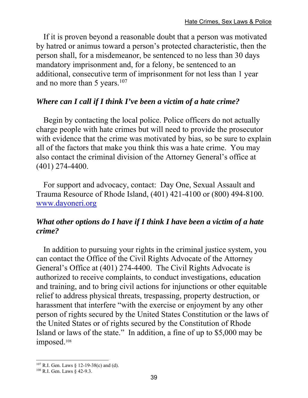If it is proven beyond a reasonable doubt that a person was motivated by hatred or animus toward a person's protected characteristic, then the person shall, for a misdemeanor, be sentenced to no less than 30 days mandatory imprisonment and, for a felony, be sentenced to an additional, consecutive term of imprisonment for not less than 1 year and no more than 5 years. $107$ 

#### *Where can I call if I think I've been a victim of a hate crime?*

Begin by contacting the local police. Police officers do not actually charge people with hate crimes but will need to provide the prosecutor with evidence that the crime was motivated by bias, so be sure to explain all of the factors that make you think this was a hate crime. You may also contact the criminal division of the Attorney General's office at (401) 274-4400.

For support and advocacy, contact: Day One, Sexual Assault and Trauma Resource of Rhode Island, (401) 421-4100 or (800) 494-8100. www.dayoneri.org

#### *What other options do I have if I think I have been a victim of a hate crime?*

In addition to pursuing your rights in the criminal justice system, you can contact the Office of the Civil Rights Advocate of the Attorney General's Office at (401) 274-4400. The Civil Rights Advocate is authorized to receive complaints, to conduct investigations, education and training, and to bring civil actions for injunctions or other equitable relief to address physical threats, trespassing, property destruction, or harassment that interfere "with the exercise or enjoyment by any other person of rights secured by the United States Constitution or the laws of the United States or of rights secured by the Constitution of Rhode Island or laws of the state." In addition, a fine of up to \$5,000 may be imposed.<sup>108</sup>

 $\overline{a}$ 107 R.I. Gen. Laws § 12-19-38(c) and (d).

<sup>108</sup> R.I. Gen. Laws § 42-9.3.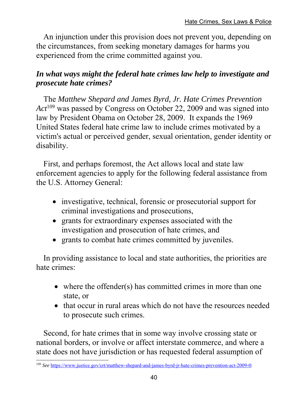An injunction under this provision does not prevent you, depending on the circumstances, from seeking monetary damages for harms you experienced from the crime committed against you.

#### *In what ways might the federal hate crimes law help to investigate and prosecute hate crimes?*

The *Matthew Shepard and James Byrd, Jr. Hate Crimes Prevention Act*109 was passed by Congress on October 22, 2009 and was signed into law by President Obama on October 28, 2009. It expands the 1969 United States federal hate crime law to include crimes motivated by a victim's actual or perceived gender, sexual orientation, gender identity or disability.

First, and perhaps foremost, the Act allows local and state law enforcement agencies to apply for the following federal assistance from the U.S. Attorney General:

- investigative, technical, forensic or prosecutorial support for criminal investigations and prosecutions,
- grants for extraordinary expenses associated with the investigation and prosecution of hate crimes, and
- grants to combat hate crimes committed by juveniles.

In providing assistance to local and state authorities, the priorities are hate crimes:

- where the offender(s) has committed crimes in more than one state, or
- that occur in rural areas which do not have the resources needed to prosecute such crimes.

Second, for hate crimes that in some way involve crossing state or national borders, or involve or affect interstate commerce, and where a state does not have jurisdiction or has requested federal assumption of

<sup>109</sup> *See* https://www.justice.gov/crt/matthew-shepard-and-james-byrd-jr-hate-crimes-prevention-act-2009-0: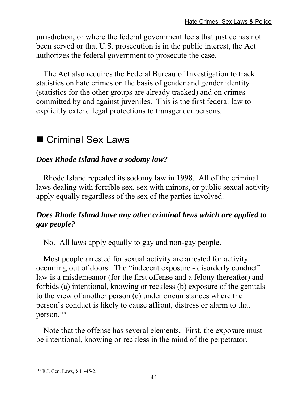jurisdiction, or where the federal government feels that justice has not been served or that U.S. prosecution is in the public interest, the Act authorizes the federal government to prosecute the case.

The Act also requires the Federal Bureau of Investigation to track statistics on hate crimes on the basis of gender and gender identity (statistics for the other groups are already tracked) and on crimes committed by and against juveniles. This is the first federal law to explicitly extend legal protections to transgender persons.

## ■ Criminal Sex Laws

#### *Does Rhode Island have a sodomy law?*

Rhode Island repealed its sodomy law in 1998. All of the criminal laws dealing with forcible sex, sex with minors, or public sexual activity apply equally regardless of the sex of the parties involved.

#### *Does Rhode Island have any other criminal laws which are applied to gay people?*

No. All laws apply equally to gay and non-gay people.

Most people arrested for sexual activity are arrested for activity occurring out of doors. The "indecent exposure - disorderly conduct" law is a misdemeanor (for the first offense and a felony thereafter) and forbids (a) intentional, knowing or reckless (b) exposure of the genitals to the view of another person (c) under circumstances where the person's conduct is likely to cause affront, distress or alarm to that person.<sup>110</sup>

Note that the offense has several elements. First, the exposure must be intentional, knowing or reckless in the mind of the perpetrator.

 $\overline{a}$ 110 R.I. Gen. Laws, § 11-45-2.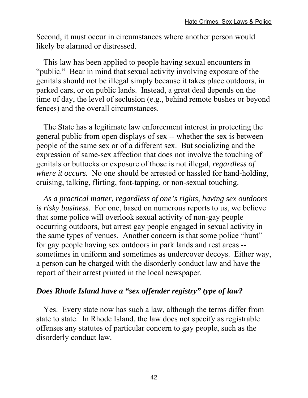Second, it must occur in circumstances where another person would likely be alarmed or distressed.

This law has been applied to people having sexual encounters in "public." Bear in mind that sexual activity involving exposure of the genitals should not be illegal simply because it takes place outdoors, in parked cars, or on public lands. Instead, a great deal depends on the time of day, the level of seclusion (e.g., behind remote bushes or beyond fences) and the overall circumstances.

The State has a legitimate law enforcement interest in protecting the general public from open displays of sex -- whether the sex is between people of the same sex or of a different sex. But socializing and the expression of same-sex affection that does not involve the touching of genitals or buttocks or exposure of those is not illegal, *regardless of where it occurs.* No one should be arrested or hassled for hand-holding, cruising, talking, flirting, foot-tapping, or non-sexual touching.

*As a practical matter, regardless of one's rights, having sex outdoors is risky business.* For one, based on numerous reports to us, we believe that some police will overlook sexual activity of non-gay people occurring outdoors, but arrest gay people engaged in sexual activity in the same types of venues. Another concern is that some police "hunt" for gay people having sex outdoors in park lands and rest areas - sometimes in uniform and sometimes as undercover decoys. Either way, a person can be charged with the disorderly conduct law and have the report of their arrest printed in the local newspaper.

#### *Does Rhode Island have a "sex offender registry" type of law?*

Yes. Every state now has such a law, although the terms differ from state to state. In Rhode Island, the law does not specify as registrable offenses any statutes of particular concern to gay people, such as the disorderly conduct law.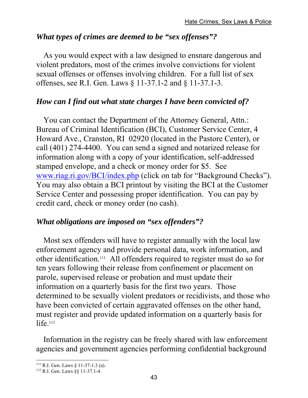#### *What types of crimes are deemed to be "sex offenses"?*

As you would expect with a law designed to ensnare dangerous and violent predators, most of the crimes involve convictions for violent sexual offenses or offenses involving children. For a full list of sex offenses, see R.I. Gen. Laws § 11-37.1-2 and § 11-37.1-3.

#### *How can I find out what state charges I have been convicted of?*

You can contact the Department of the Attorney General, Attn.: Bureau of Criminal Identification (BCI), Customer Service Center, 4 Howard Ave., Cranston, RI 02920 (located in the Pastore Center), or call (401) 274-4400. You can send a signed and notarized release for information along with a copy of your identification, self-addressed stamped envelope, and a check or money order for \$5. See www.riag.ri.gov/BCI/index.php (click on tab for "Background Checks"). You may also obtain a BCI printout by visiting the BCI at the Customer Service Center and possessing proper identification. You can pay by credit card, check or money order (no cash).

#### *What obligations are imposed on "sex offenders"?*

Most sex offenders will have to register annually with the local law enforcement agency and provide personal data, work information, and other identification.111 All offenders required to register must do so for ten years following their release from confinement or placement on parole, supervised release or probation and must update their information on a quarterly basis for the first two years. Those determined to be sexually violent predators or recidivists, and those who have been convicted of certain aggravated offenses on the other hand, must register and provide updated information on a quarterly basis for  $life.$ <sup>112</sup>

Information in the registry can be freely shared with law enforcement agencies and government agencies performing confidential background

<sup>111</sup> R.I. Gen. Laws § 11-37-1.3 (a). 112 R.I. Gen. Laws §§ 11-37.1-4.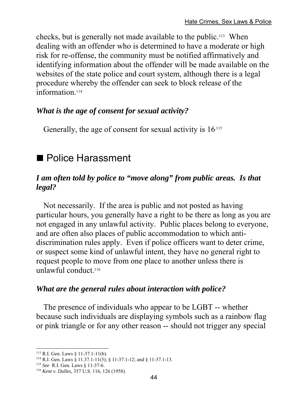checks, but is generally not made available to the public.113 When dealing with an offender who is determined to have a moderate or high risk for re-offense, the community must be notified affirmatively and identifying information about the offender will be made available on the websites of the state police and court system, although there is a legal procedure whereby the offender can seek to block release of the information.<sup>114</sup>

#### *What is the age of consent for sexual activity?*

Generally, the age of consent for sexual activity is 16.115

## ■ Police Harassment

#### *I am often told by police to "move along" from public areas. Is that legal?*

Not necessarily. If the area is public and not posted as having particular hours, you generally have a right to be there as long as you are not engaged in any unlawful activity. Public places belong to everyone, and are often also places of public accommodation to which antidiscrimination rules apply. Even if police officers want to deter crime, or suspect some kind of unlawful intent, they have no general right to request people to move from one place to another unless there is unlawful conduct.116

#### *What are the general rules about interaction with police?*

The presence of individuals who appear to be LGBT -- whether because such individuals are displaying symbols such as a rainbow flag or pink triangle or for any other reason -- should not trigger any special

 $\overline{a}$ 

<sup>113</sup> R.I. Gen. Laws § 11-37.1-11(b).<br><sup>114</sup> R.I. Gen. Laws § 11.37.1-11(5); § 11-37.1-12; and § 11-37.1-13.<br><sup>115</sup> *See* R.I. Gen. Laws § 11-37-6.

<sup>116</sup> *Kent v. Dulles*, 357 U.S. 116, 126 (1958).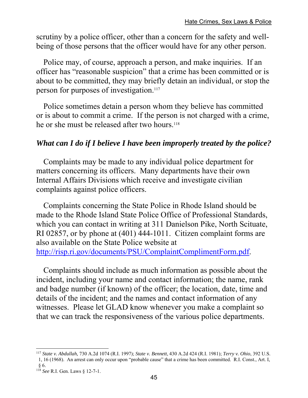scrutiny by a police officer, other than a concern for the safety and wellbeing of those persons that the officer would have for any other person.

Police may, of course, approach a person, and make inquiries. If an officer has "reasonable suspicion" that a crime has been committed or is about to be committed, they may briefly detain an individual, or stop the person for purposes of investigation.<sup>117</sup>

Police sometimes detain a person whom they believe has committed or is about to commit a crime. If the person is not charged with a crime, he or she must be released after two hours.<sup>118</sup>

#### *What can I do if I believe I have been improperly treated by the police?*

Complaints may be made to any individual police department for matters concerning its officers. Many departments have their own Internal Affairs Divisions which receive and investigate civilian complaints against police officers.

Complaints concerning the State Police in Rhode Island should be made to the Rhode Island State Police Office of Professional Standards, which you can contact in writing at 311 Danielson Pike, North Scituate, RI 02857, or by phone at (401) 444-1011. Citizen complaint forms are also available on the State Police website at http://risp.ri.gov/documents/PSU/ComplaintComplimentForm.pdf.

Complaints should include as much information as possible about the incident, including your name and contact information; the name, rank and badge number (if known) of the officer; the location, date, time and details of the incident; and the names and contact information of any witnesses. Please let GLAD know whenever you make a complaint so that we can track the responsiveness of the various police departments.

 $\overline{a}$ <sup>117</sup> *State v. Abdullah,* 730 A.2d 1074 (R.I. 1997); *State v. Bennett*, 430 A.2d 424 (R.I. 1981); *Terry v. Ohio*, 392 U.S. 1, 16 (1968). An arrest can only occur upon "probable cause" that a crime has been committed. R.I. Const., Art. I,

<sup>§ 6.</sup> 

<sup>118</sup> *See* R.I. Gen. Laws § 12-7-1.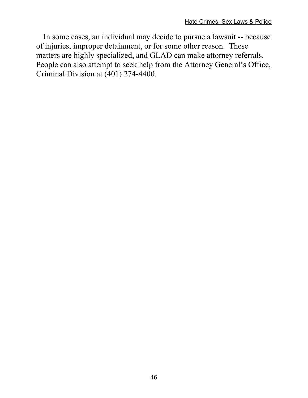In some cases, an individual may decide to pursue a lawsuit -- because of injuries, improper detainment, or for some other reason. These matters are highly specialized, and GLAD can make attorney referrals. People can also attempt to seek help from the Attorney General's Office, Criminal Division at (401) 274-4400.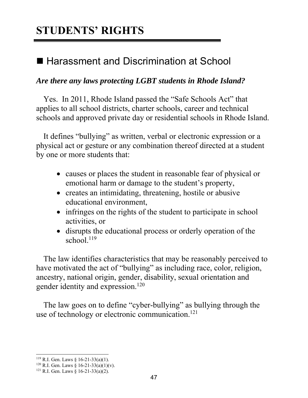## **STUDENTS' RIGHTS**

## ■ Harassment and Discrimination at School

#### *Are there any laws protecting LGBT students in Rhode Island?*

Yes. In 2011, Rhode Island passed the "Safe Schools Act" that applies to all school districts, charter schools, career and technical schools and approved private day or residential schools in Rhode Island.

It defines "bullying" as written, verbal or electronic expression or a physical act or gesture or any combination thereof directed at a student by one or more students that:

- causes or places the student in reasonable fear of physical or emotional harm or damage to the student's property,
- creates an intimidating, threatening, hostile or abusive educational environment,
- infringes on the rights of the student to participate in school activities, or
- disrupts the educational process or orderly operation of the school.<sup>119</sup>

The law identifies characteristics that may be reasonably perceived to have motivated the act of "bullying" as including race, color, religion, ancestry, national origin, gender, disability, sexual orientation and gender identity and expression.<sup>120</sup>

The law goes on to define "cyber-bullying" as bullying through the use of technology or electronic communication.<sup>121</sup>

<sup>&</sup>lt;sup>119</sup> R.I. Gen. Laws § 16-21-33(a)(1).

<sup>&</sup>lt;sup>120</sup> R.I. Gen. Laws § 16-21-33(a)(1)(v).<br><sup>121</sup> R.I. Gen. Laws § 16-21-33(a)(2).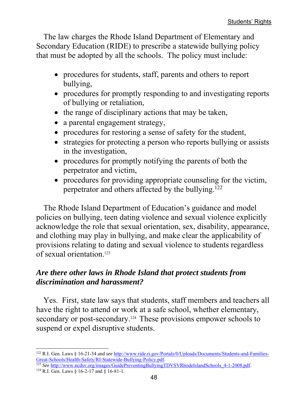The law charges the Rhode Island Department of Elementary and Secondary Education (RIDE) to prescribe a statewide bullying policy that must be adopted by all the schools. The policy must include:

- procedures for students, staff, parents and others to report bullying,
- procedures for promptly responding to and investigating reports of bullying or retaliation,
- the range of disciplinary actions that may be taken,
- a parental engagement strategy,
- procedures for restoring a sense of safety for the student,
- strategies for protecting a person who reports bullying or assists in the investigation,
- procedures for promptly notifying the parents of both the perpetrator and victim,
- procedures for providing appropriate counseling for the victim, perpetrator and others affected by the bullying.122

The Rhode Island Department of Education's guidance and model policies on bullying, teen dating violence and sexual violence explicitly acknowledge the role that sexual orientation, sex, disability, appearance, and clothing may play in bullying, and make clear the applicability of provisions relating to dating and sexual violence to students regardless of sexual orientation.123

#### *Are there other laws in Rhode Island that protect students from discrimination and harassment?*

Yes. First, state law says that students, staff members and teachers all have the right to attend or work at a safe school, whether elementary, secondary or post-secondary.<sup>124</sup> These provisions empower schools to suspend or expel disruptive students.

Great-Schools/Health-Safety/RI-Statewide-Bullying-Policy.pdf.<br>
<sup>123</sup> *See* http://www.ncdsv.org/images/GuidePreventingBullyingTDVSVRhodeIslandSchools\_4-1-2008.pdf.<br>
<sup>124</sup> R.I. Gen. Laws § 16-2-17 and § 16-81-1.

 $\overline{a}$ <sup>122</sup> R.I. Gen. Laws § 16-21-34 and *see* http://www.ride.ri.gov/Portals/0/Uploads/Documents/Students-and-Families-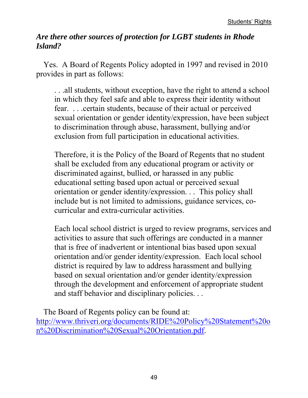#### *Are there other sources of protection for LGBT students in Rhode Island?*

Yes. A Board of Regents Policy adopted in 1997 and revised in 2010 provides in part as follows:

. . .all students, without exception, have the right to attend a school in which they feel safe and able to express their identity without fear. . . .certain students, because of their actual or perceived sexual orientation or gender identity/expression, have been subject to discrimination through abuse, harassment, bullying and/or exclusion from full participation in educational activities.

Therefore, it is the Policy of the Board of Regents that no student shall be excluded from any educational program or activity or discriminated against, bullied, or harassed in any public educational setting based upon actual or perceived sexual orientation or gender identity/expression. . . This policy shall include but is not limited to admissions, guidance services, cocurricular and extra-curricular activities.

Each local school district is urged to review programs, services and activities to assure that such offerings are conducted in a manner that is free of inadvertent or intentional bias based upon sexual orientation and/or gender identity/expression. Each local school district is required by law to address harassment and bullying based on sexual orientation and/or gender identity/expression through the development and enforcement of appropriate student and staff behavior and disciplinary policies. . .

The Board of Regents policy can be found at: http://www.thriveri.org/documents/RIDE%20Policy%20Statement%20o n%20Discrimination%20Sexual%20Orientation.pdf.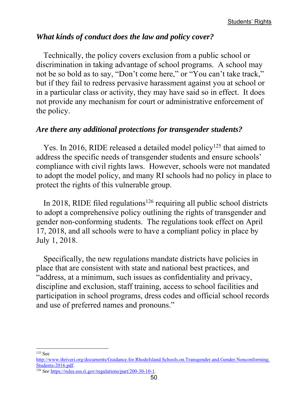#### *What kinds of conduct does the law and policy cover?*

Technically, the policy covers exclusion from a public school or discrimination in taking advantage of school programs. A school may not be so bold as to say, "Don't come here," or "You can't take track," but if they fail to redress pervasive harassment against you at school or in a particular class or activity, they may have said so in effect. It does not provide any mechanism for court or administrative enforcement of the policy.

#### *Are there any additional protections for transgender students?*

Yes. In 2016, RIDE released a detailed model policy<sup>125</sup> that aimed to address the specific needs of transgender students and ensure schools' compliance with civil rights laws. However, schools were not mandated to adopt the model policy, and many RI schools had no policy in place to protect the rights of this vulnerable group.

In 2018, RIDE filed regulations<sup>126</sup> requiring all public school districts to adopt a comprehensive policy outlining the rights of transgender and gender non-conforming students. The regulations took effect on April 17, 2018, and all schools were to have a compliant policy in place by July 1, 2018.

Specifically, the new regulations mandate districts have policies in place that are consistent with state and national best practices, and "address, at a minimum, such issues as confidentiality and privacy, discipline and exclusion, staff training, access to school facilities and participation in school programs, dress codes and official school records and use of preferred names and pronouns."

<sup>125</sup> See

http://www.thriveri.org/documents/Guidance.for.RhodeIsland.Schools.on.Transgender.and.Gender.Nonconforming. Students-2016.pdf. 126 *See* https://rules.sos.ri.gov/regulations/part/200-30-10-1.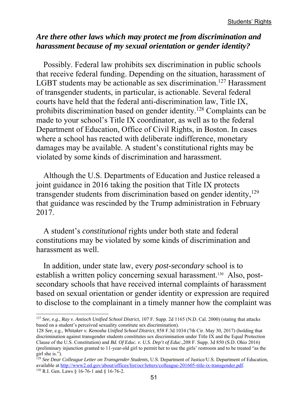#### *Are there other laws which may protect me from discrimination and harassment because of my sexual orientation or gender identity?*

Possibly. Federal law prohibits sex discrimination in public schools that receive federal funding. Depending on the situation, harassment of LGBT students may be actionable as sex discrimination.<sup>127</sup> Harassment of transgender students, in particular, is actionable. Several federal courts have held that the federal anti-discrimination law, Title IX, prohibits discrimination based on gender identity.128 Complaints can be made to your school's Title IX coordinator, as well as to the federal Department of Education, Office of Civil Rights, in Boston. In cases where a school has reacted with deliberate indifference, monetary damages may be available. A student's constitutional rights may be violated by some kinds of discrimination and harassment.

Although the U.S. Departments of Education and Justice released a joint guidance in 2016 taking the position that Title IX protects transgender students from discrimination based on gender identity,<sup>129</sup> that guidance was rescinded by the Trump administration in February 2017.

A student's *constitutional* rights under both state and federal constitutions may be violated by some kinds of discrimination and harassment as well.

In addition, under state law, every *post-secondary* school is to establish a written policy concerning sexual harassment.130 Also, postsecondary schools that have received internal complaints of harassment based on sexual orientation or gender identity or expression are required to disclose to the complainant in a timely manner how the complaint was

<sup>127</sup> *See, e.g.*, *Ray v. Antioch Unified School District*, 107 F. Supp. 2d 1165 (N.D. Cal. 2000) (stating that attacks based on a student's perceived sexuality constitute sex discrimination).

<sup>128</sup> *See*, e.g., *Whitaker v. Kenosha Unified School District*, 858 F.3d 1034 (7th Cir. May 30, 2017) (holding that discrimination against transgender students constitutes sex discrimination under Title IX and the Equal Protection Clause of the U.S. Constitution) and *Bd. Of Educ. v. U.S. Dep't of Educ*.,208 F. Supp. 3d 850 (S.D. Ohio 2016) (preliminary injunction granted to 11-year-old girl to permit her to use the girls' restroom and to be treated "as the girl she is.").

<sup>129</sup> *See Dear Colleague Letter on Transgender Students*, U.S. Department of Justice/U.S. Department of Education, available at http://www2.ed.gov/about/offices/list/ocr/letters/colleague-201605-title-ix-transgender.pdf. 130 R.I. Gen. Laws § 16-76-1 and § 16-76-2.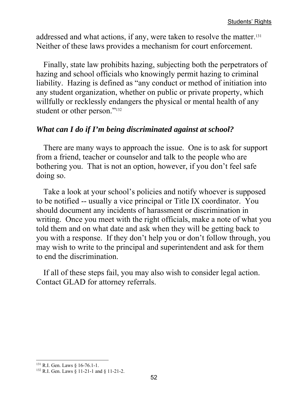addressed and what actions, if any, were taken to resolve the matter.131 Neither of these laws provides a mechanism for court enforcement.

Finally, state law prohibits hazing, subjecting both the perpetrators of hazing and school officials who knowingly permit hazing to criminal liability. Hazing is defined as "any conduct or method of initiation into any student organization, whether on public or private property, which willfully or recklessly endangers the physical or mental health of any student or other person."<sup>132</sup>

#### *What can I do if I'm being discriminated against at school?*

There are many ways to approach the issue. One is to ask for support from a friend, teacher or counselor and talk to the people who are bothering you. That is not an option, however, if you don't feel safe doing so.

Take a look at your school's policies and notify whoever is supposed to be notified -- usually a vice principal or Title IX coordinator. You should document any incidents of harassment or discrimination in writing. Once you meet with the right officials, make a note of what you told them and on what date and ask when they will be getting back to you with a response. If they don't help you or don't follow through, you may wish to write to the principal and superintendent and ask for them to end the discrimination.

If all of these steps fail, you may also wish to consider legal action. Contact GLAD for attorney referrals.

 $\overline{a}$ 131 R.I. Gen. Laws § 16-76.1-1.

<sup>132</sup> R.I. Gen. Laws § 11-21-1 and § 11-21-2.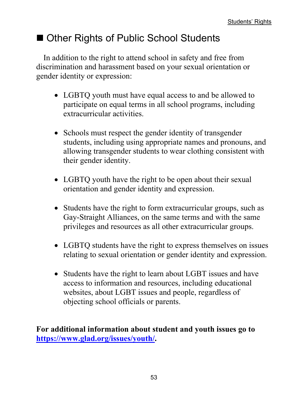## ■ Other Rights of Public School Students

In addition to the right to attend school in safety and free from discrimination and harassment based on your sexual orientation or gender identity or expression:

- LGBTQ youth must have equal access to and be allowed to participate on equal terms in all school programs, including extracurricular activities.
- Schools must respect the gender identity of transgender students, including using appropriate names and pronouns, and allowing transgender students to wear clothing consistent with their gender identity.
- LGBTQ youth have the right to be open about their sexual orientation and gender identity and expression.
- Students have the right to form extracurricular groups, such as Gay-Straight Alliances, on the same terms and with the same privileges and resources as all other extracurricular groups.
- LGBTQ students have the right to express themselves on issues relating to sexual orientation or gender identity and expression.
- Students have the right to learn about LGBT issues and have access to information and resources, including educational websites, about LGBT issues and people, regardless of objecting school officials or parents.

**For additional information about student and youth issues go to https://www.glad.org/issues/youth/.**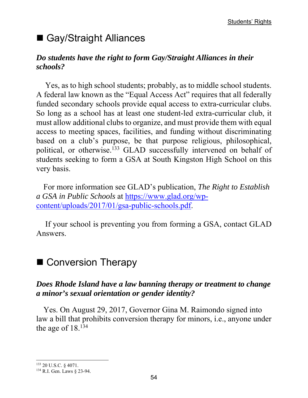## ■ Gay/Straight Alliances

#### *Do students have the right to form Gay/Straight Alliances in their schools?*

Yes, as to high school students; probably, as to middle school students. A federal law known as the "Equal Access Act" requires that all federally funded secondary schools provide equal access to extra-curricular clubs. So long as a school has at least one student-led extra-curricular club, it must allow additional clubs to organize, and must provide them with equal access to meeting spaces, facilities, and funding without discriminating based on a club's purpose, be that purpose religious, philosophical, political, or otherwise.133 GLAD successfully intervened on behalf of students seeking to form a GSA at South Kingston High School on this very basis.

For more information see GLAD's publication, *The Right to Establish a GSA in Public Schools* at https://www.glad.org/wpcontent/uploads/2017/01/gsa-public-schools.pdf.

If your school is preventing you from forming a GSA, contact GLAD Answers.

### ■ Conversion Therapy

#### *Does Rhode Island have a law banning therapy or treatment to change a minor's sexual orientation or gender identity?*

Yes. On August 29, 2017, Governor Gina M. Raimondo signed into law a bill that prohibits conversion therapy for minors, i.e., anyone under the age of 18.134

<sup>133 20</sup> U.S.C. § 4071.

<sup>134</sup> R.I. Gen. Laws § 23-94.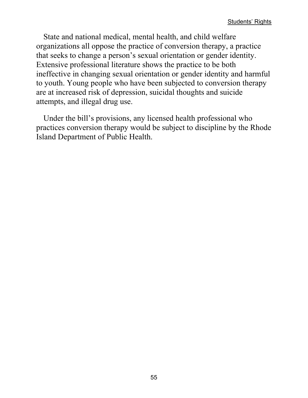State and national medical, mental health, and child welfare organizations all oppose the practice of conversion therapy, a practice that seeks to change a person's sexual orientation or gender identity. Extensive professional literature shows the practice to be both ineffective in changing sexual orientation or gender identity and harmful to youth. Young people who have been subjected to conversion therapy are at increased risk of depression, suicidal thoughts and suicide attempts, and illegal drug use.

Under the bill's provisions, any licensed health professional who practices conversion therapy would be subject to discipline by the Rhode Island Department of Public Health.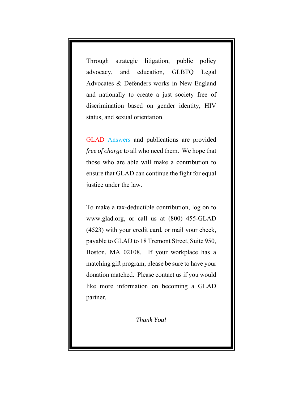Through strategic litigation, public policy advocacy, and education, GLBTQ Legal Advocates & Defenders works in New England and nationally to create a just society free of discrimination based on gender identity, HIV status, and sexual orientation.

GLAD Answers and publications are provided *free of charge* to all who need them. We hope that those who are able will make a contribution to ensure that GLAD can continue the fight for equal justice under the law.

To make a tax-deductible contribution, log on to www.glad.org, or call us at (800) 455-GLAD (4523) with your credit card, or mail your check, payable to GLAD to 18 Tremont Street, Suite 950, Boston, MA 02108. If your workplace has a matching gift program, please be sure to have your donation matched. Please contact us if you would like more information on becoming a GLAD partner.

*Thank You!*